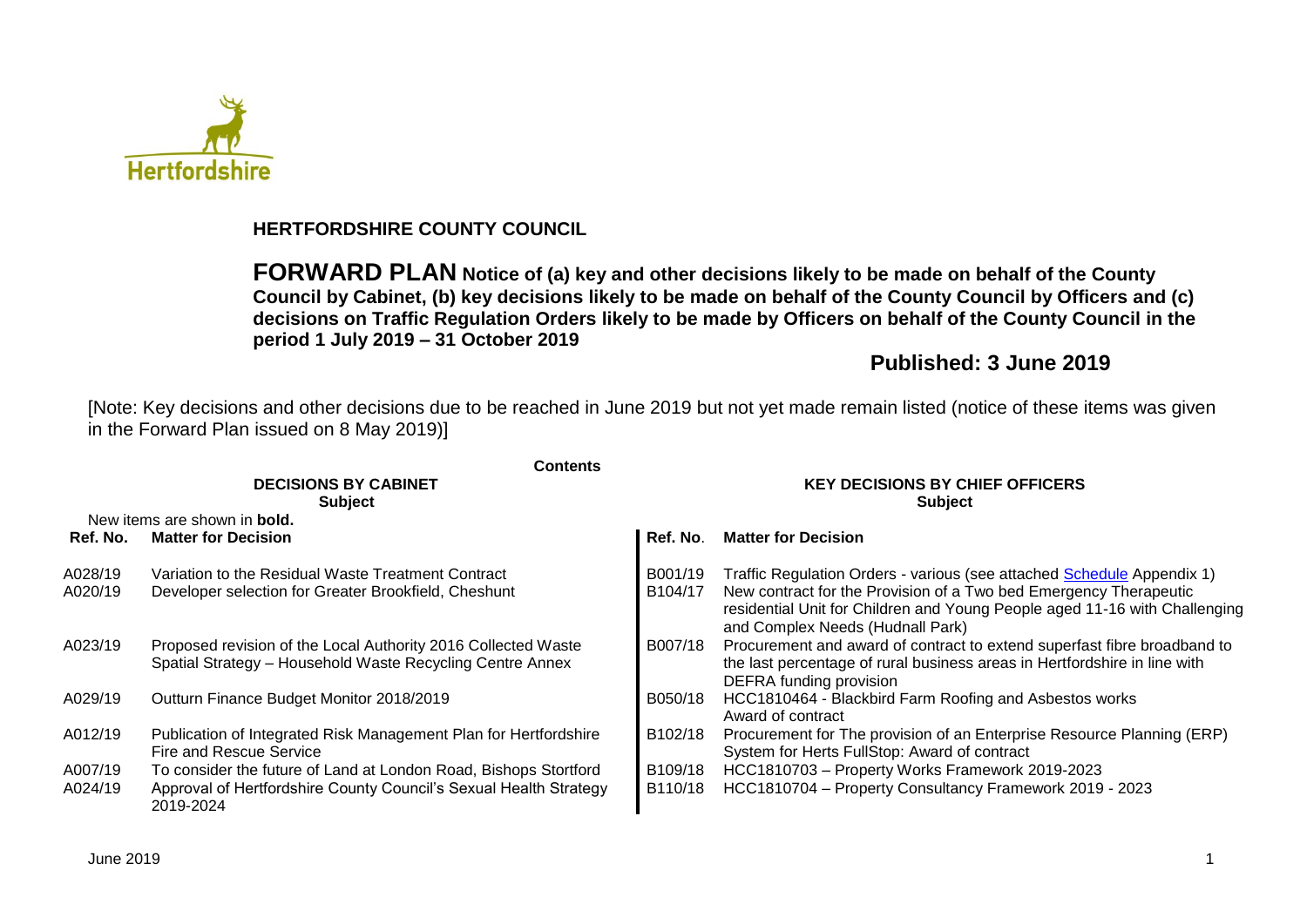

## **HERTFORDSHIRE COUNTY COUNCIL**

**FORWARD PLAN Notice of (a) key and other decisions likely to be made on behalf of the County Council by Cabinet, (b) key decisions likely to be made on behalf of the County Council by Officers and (c) decisions on Traffic Regulation Orders likely to be made by Officers on behalf of the County Council in the period 1 July 2019 – 31 October 2019**

## **Published: 3 June 2019**

[Note: Key decisions and other decisions due to be reached in June 2019 but not yet made remain listed (notice of these items was given in the Forward Plan issued on 8 May 2019)]

|          | <b>Contents</b>                                                                                                            |                                                          |                                                                                                                                                                                     |  |  |  |
|----------|----------------------------------------------------------------------------------------------------------------------------|----------------------------------------------------------|-------------------------------------------------------------------------------------------------------------------------------------------------------------------------------------|--|--|--|
|          | <b>DECISIONS BY CABINET</b><br><b>Subject</b>                                                                              | <b>KEY DECISIONS BY CHIEF OFFICERS</b><br><b>Subject</b> |                                                                                                                                                                                     |  |  |  |
|          | New items are shown in <b>bold.</b>                                                                                        |                                                          |                                                                                                                                                                                     |  |  |  |
| Ref. No. | <b>Matter for Decision</b>                                                                                                 | Ref. No.                                                 | <b>Matter for Decision</b>                                                                                                                                                          |  |  |  |
| A028/19  | Variation to the Residual Waste Treatment Contract                                                                         | B001/19                                                  | Traffic Regulation Orders - various (see attached Schedule Appendix 1)                                                                                                              |  |  |  |
| A020/19  | Developer selection for Greater Brookfield, Cheshunt                                                                       | B104/17                                                  | New contract for the Provision of a Two bed Emergency Therapeutic<br>residential Unit for Children and Young People aged 11-16 with Challenging<br>and Complex Needs (Hudnall Park) |  |  |  |
| A023/19  | Proposed revision of the Local Authority 2016 Collected Waste<br>Spatial Strategy - Household Waste Recycling Centre Annex | B007/18                                                  | Procurement and award of contract to extend superfast fibre broadband to<br>the last percentage of rural business areas in Hertfordshire in line with<br>DEFRA funding provision    |  |  |  |
| A029/19  | Outturn Finance Budget Monitor 2018/2019                                                                                   | B050/18                                                  | HCC1810464 - Blackbird Farm Roofing and Asbestos works<br>Award of contract                                                                                                         |  |  |  |
| A012/19  | Publication of Integrated Risk Management Plan for Hertfordshire<br>Fire and Rescue Service                                | B102/18                                                  | Procurement for The provision of an Enterprise Resource Planning (ERP)<br>System for Herts FullStop: Award of contract                                                              |  |  |  |
| A007/19  | To consider the future of Land at London Road, Bishops Stortford                                                           | B109/18                                                  | HCC1810703 - Property Works Framework 2019-2023                                                                                                                                     |  |  |  |
| A024/19  | Approval of Hertfordshire County Council's Sexual Health Strategy<br>2019-2024                                             | B110/18                                                  | HCC1810704 - Property Consultancy Framework 2019 - 2023                                                                                                                             |  |  |  |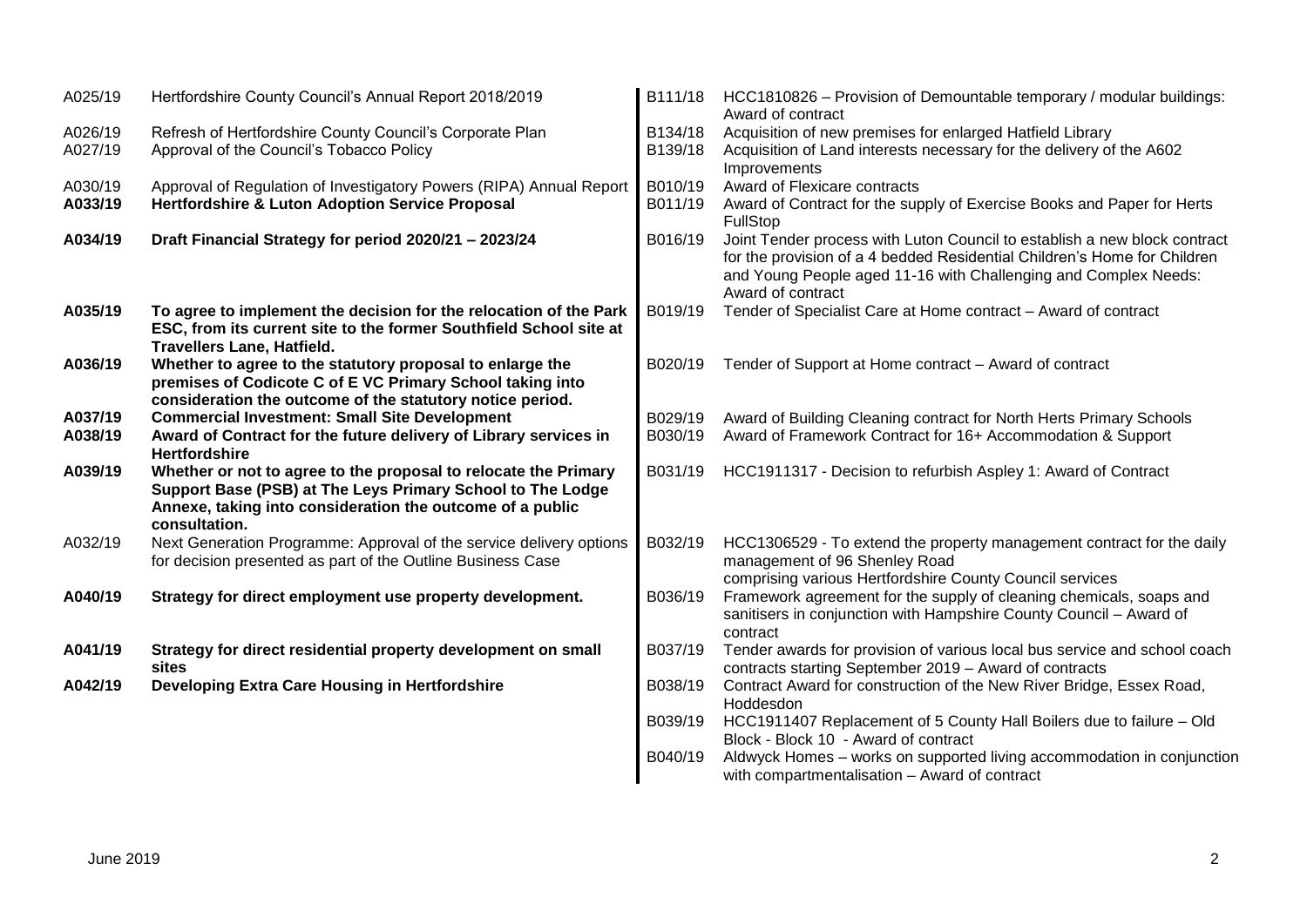| A025/19 | Hertfordshire County Council's Annual Report 2018/2019              | B111/18 | HCC1810826 – Provision of Demountable temporary / modular buildings:<br>Award of contract                                                                                                                                                     |
|---------|---------------------------------------------------------------------|---------|-----------------------------------------------------------------------------------------------------------------------------------------------------------------------------------------------------------------------------------------------|
| A026/19 | Refresh of Hertfordshire County Council's Corporate Plan            | B134/18 | Acquisition of new premises for enlarged Hatfield Library                                                                                                                                                                                     |
| A027/19 | Approval of the Council's Tobacco Policy                            | B139/18 | Acquisition of Land interests necessary for the delivery of the A602<br>Improvements                                                                                                                                                          |
| A030/19 | Approval of Regulation of Investigatory Powers (RIPA) Annual Report | B010/19 | Award of Flexicare contracts                                                                                                                                                                                                                  |
| A033/19 | <b>Hertfordshire &amp; Luton Adoption Service Proposal</b>          | B011/19 | Award of Contract for the supply of Exercise Books and Paper for Herts                                                                                                                                                                        |
|         |                                                                     |         | FullStop                                                                                                                                                                                                                                      |
| A034/19 | Draft Financial Strategy for period 2020/21 - 2023/24               | B016/19 | Joint Tender process with Luton Council to establish a new block contract<br>for the provision of a 4 bedded Residential Children's Home for Children<br>and Young People aged 11-16 with Challenging and Complex Needs:<br>Award of contract |
| A035/19 | To agree to implement the decision for the relocation of the Park   | B019/19 | Tender of Specialist Care at Home contract - Award of contract                                                                                                                                                                                |
|         | ESC, from its current site to the former Southfield School site at  |         |                                                                                                                                                                                                                                               |
|         | <b>Travellers Lane, Hatfield.</b>                                   |         |                                                                                                                                                                                                                                               |
| A036/19 | Whether to agree to the statutory proposal to enlarge the           | B020/19 | Tender of Support at Home contract - Award of contract                                                                                                                                                                                        |
|         | premises of Codicote C of E VC Primary School taking into           |         |                                                                                                                                                                                                                                               |
|         | consideration the outcome of the statutory notice period.           |         |                                                                                                                                                                                                                                               |
| A037/19 | <b>Commercial Investment: Small Site Development</b>                | B029/19 | Award of Building Cleaning contract for North Herts Primary Schools                                                                                                                                                                           |
| A038/19 | Award of Contract for the future delivery of Library services in    | B030/19 | Award of Framework Contract for 16+ Accommodation & Support                                                                                                                                                                                   |
|         | <b>Hertfordshire</b>                                                |         |                                                                                                                                                                                                                                               |
| A039/19 | Whether or not to agree to the proposal to relocate the Primary     | B031/19 | HCC1911317 - Decision to refurbish Aspley 1: Award of Contract                                                                                                                                                                                |
|         | Support Base (PSB) at The Leys Primary School to The Lodge          |         |                                                                                                                                                                                                                                               |
|         | Annexe, taking into consideration the outcome of a public           |         |                                                                                                                                                                                                                                               |
|         | consultation.                                                       |         |                                                                                                                                                                                                                                               |
| A032/19 | Next Generation Programme: Approval of the service delivery options | B032/19 | HCC1306529 - To extend the property management contract for the daily                                                                                                                                                                         |
|         | for decision presented as part of the Outline Business Case         |         | management of 96 Shenley Road                                                                                                                                                                                                                 |
|         |                                                                     |         | comprising various Hertfordshire County Council services                                                                                                                                                                                      |
| A040/19 | Strategy for direct employment use property development.            | B036/19 | Framework agreement for the supply of cleaning chemicals, soaps and<br>sanitisers in conjunction with Hampshire County Council - Award of<br>contract                                                                                         |
| A041/19 | Strategy for direct residential property development on small       | B037/19 | Tender awards for provision of various local bus service and school coach                                                                                                                                                                     |
|         | sites                                                               |         | contracts starting September 2019 - Award of contracts                                                                                                                                                                                        |
| A042/19 | Developing Extra Care Housing in Hertfordshire                      | B038/19 | Contract Award for construction of the New River Bridge, Essex Road,                                                                                                                                                                          |
|         |                                                                     |         | Hoddesdon                                                                                                                                                                                                                                     |
|         |                                                                     | B039/19 | HCC1911407 Replacement of 5 County Hall Boilers due to failure - Old                                                                                                                                                                          |
|         |                                                                     |         | Block - Block 10 - Award of contract                                                                                                                                                                                                          |
|         |                                                                     | B040/19 | Aldwyck Homes - works on supported living accommodation in conjunction                                                                                                                                                                        |
|         |                                                                     |         | with compartmentalisation - Award of contract                                                                                                                                                                                                 |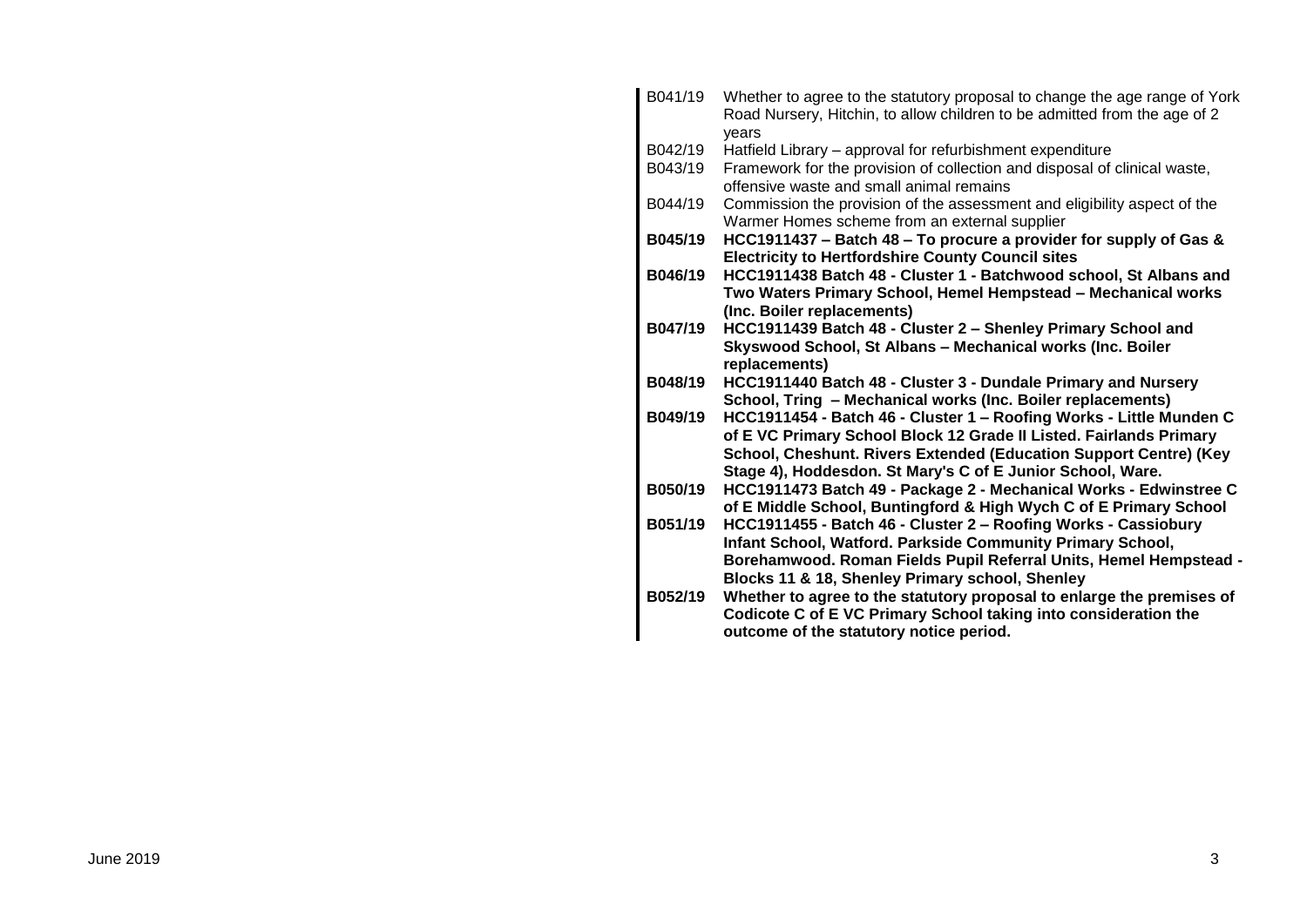| B041/19 | Whether to agree to the statutory proposal to change the age range of York<br>Road Nursery, Hitchin, to allow children to be admitted from the age of 2<br>vears |
|---------|------------------------------------------------------------------------------------------------------------------------------------------------------------------|
| B042/19 | Hatfield Library - approval for refurbishment expenditure                                                                                                        |
| B043/19 | Framework for the provision of collection and disposal of clinical waste,<br>offensive waste and small animal remains                                            |
| B044/19 | Commission the provision of the assessment and eligibility aspect of the<br>Warmer Homes scheme from an external supplier                                        |
| B045/19 | HCC1911437 - Batch 48 - To procure a provider for supply of Gas &                                                                                                |
|         | <b>Electricity to Hertfordshire County Council sites</b>                                                                                                         |
| B046/19 | HCC1911438 Batch 48 - Cluster 1 - Batchwood school, St Albans and                                                                                                |
|         | Two Waters Primary School, Hemel Hempstead - Mechanical works                                                                                                    |
|         | (Inc. Boiler replacements)                                                                                                                                       |
| B047/19 | HCC1911439 Batch 48 - Cluster 2 - Shenley Primary School and                                                                                                     |
|         | Skyswood School, St Albans - Mechanical works (Inc. Boiler                                                                                                       |
|         | replacements)                                                                                                                                                    |
| B048/19 | HCC1911440 Batch 48 - Cluster 3 - Dundale Primary and Nursery                                                                                                    |
|         | School, Tring - Mechanical works (Inc. Boiler replacements)                                                                                                      |
| B049/19 | HCC1911454 - Batch 46 - Cluster 1 - Roofing Works - Little Munden C                                                                                              |
|         | of E VC Primary School Block 12 Grade II Listed. Fairlands Primary                                                                                               |
|         | School, Cheshunt. Rivers Extended (Education Support Centre) (Key<br>Stage 4), Hoddesdon. St Mary's C of E Junior School, Ware.                                  |
| B050/19 | HCC1911473 Batch 49 - Package 2 - Mechanical Works - Edwinstree C                                                                                                |
|         | of E Middle School, Buntingford & High Wych C of E Primary School                                                                                                |
| B051/19 | HCC1911455 - Batch 46 - Cluster 2 - Roofing Works - Cassiobury                                                                                                   |
|         | Infant School, Watford. Parkside Community Primary School,                                                                                                       |
|         | Borehamwood. Roman Fields Pupil Referral Units, Hemel Hempstead -                                                                                                |
|         | Blocks 11 & 18, Shenley Primary school, Shenley                                                                                                                  |
| B052/19 | Whether to agree to the statutory proposal to enlarge the premises of                                                                                            |
|         | Codicote C of E VC Primary School taking into consideration the                                                                                                  |
|         | outcome of the statutory notice period.                                                                                                                          |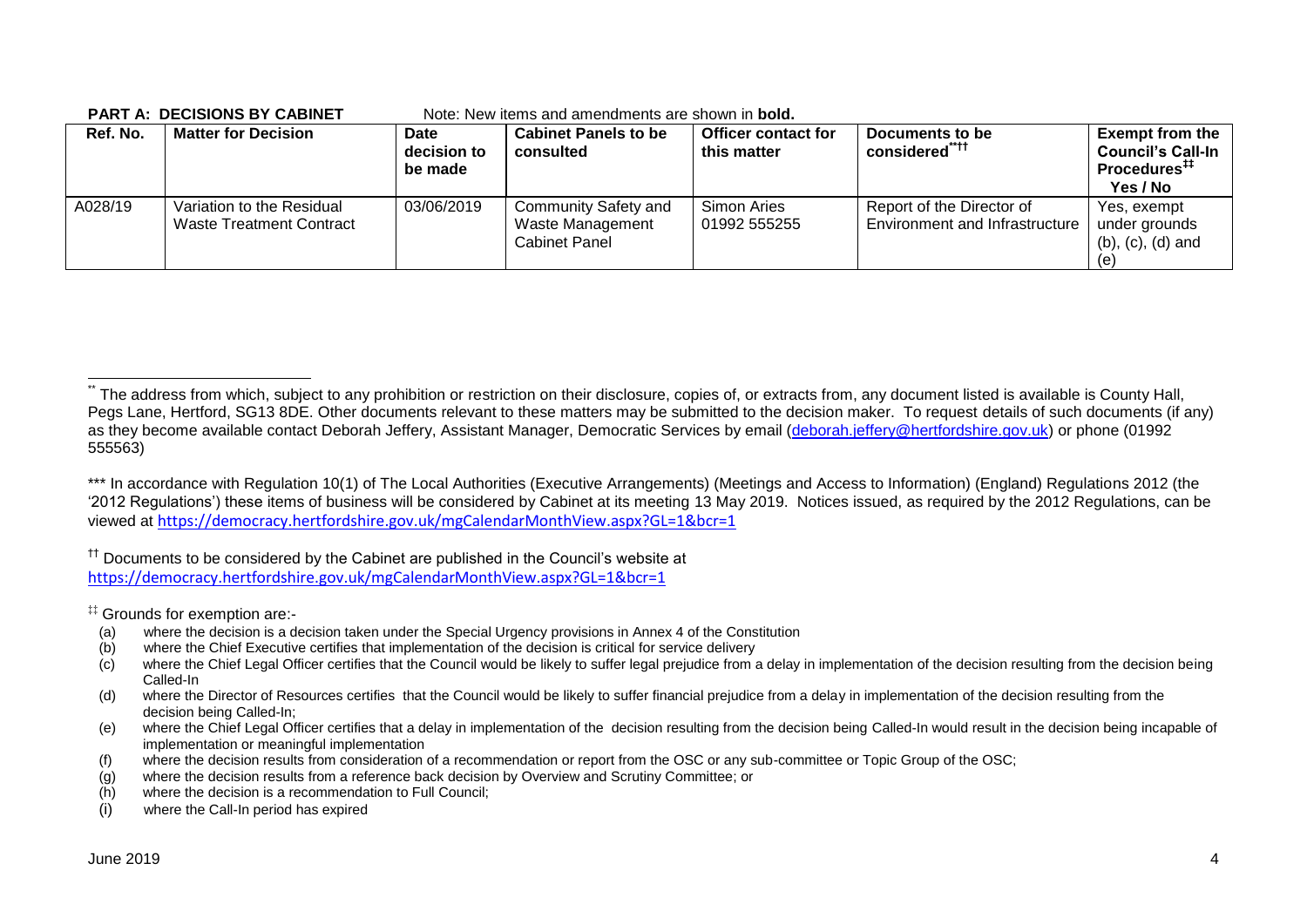**PART A: DECISIONS BY CABINET** Note: New items and amendments are shown in **bold.**

| Ref. No. | <b>Matter for Decision</b>                                   | Date<br>decision to<br>be made | <b>Cabinet Panels to be</b><br>consulted                         | <b>Officer contact for</b><br>this matter | Documents to be<br>considered <sup>"††</sup>                | <b>Exempt from the</b><br><b>Council's Call-In</b><br>Procedures <sup>##</sup><br>Yes / No |
|----------|--------------------------------------------------------------|--------------------------------|------------------------------------------------------------------|-------------------------------------------|-------------------------------------------------------------|--------------------------------------------------------------------------------------------|
| A028/19  | Variation to the Residual<br><b>Waste Treatment Contract</b> | 03/06/2019                     | <b>Community Safety and</b><br>Waste Management<br>Cabinet Panel | Simon Aries<br>01992 555255               | Report of the Director of<br>Environment and Infrastructure | Yes, exempt<br>under grounds<br>$(b)$ , $(c)$ , $(d)$ and<br>e)                            |

<sup>††</sup> Documents to be considered by the Cabinet are published in the Council's website at <https://democracy.hertfordshire.gov.uk/mgCalendarMonthView.aspx?GL=1&bcr=1>

‡‡ Grounds for exemption are:-

- (a) where the decision is a decision taken under the Special Urgency provisions in Annex 4 of the Constitution
- (b) where the Chief Executive certifies that implementation of the decision is critical for service delivery
- $(c)$  where the Chief Legal Officer certifies that the Council would be likely to suffer legal prejudice from a delay in implementation of the decision resulting from the decision being Called-In
- (d) where the Director of Resources certifies that the Council would be likely to suffer financial prejudice from a delay in implementation of the decision resulting from the decision being Called-In;
- (e) where the Chief Legal Officer certifies that a delay in implementation of the decision resulting from the decision being Called-In would result in the decision being incapable of implementation or meaningful implementation
- (f) where the decision results from consideration of a recommendation or report from the OSC or any sub-committee or Topic Group of the OSC;
- (g) where the decision results from a reference back decision by Overview and Scrutiny Committee; or
- (h) where the decision is a recommendation to Full Council;
- (i) where the Call-In period has expired

<sup>1</sup> The address from which, subject to any prohibition or restriction on their disclosure, copies of, or extracts from, any document listed is available is County Hall, Pegs Lane, Hertford, SG13 8DE. Other documents relevant to these matters may be submitted to the decision maker. To request details of such documents (if any) as they become available contact Deborah Jeffery, Assistant Manager, Democratic Services by email [\(deborah.jeffery@hertfordshire.gov.uk\)](mailto:deborah.jeffery@hertfordshire.gov.uk) or phone (01992 555563)

<sup>\*\*\*</sup> In accordance with Regulation 10(1) of The Local Authorities (Executive Arrangements) (Meetings and Access to Information) (England) Regulations 2012 (the '2012 Regulations') these items of business will be considered by Cabinet at its meeting 13 May 2019. Notices issued, as required by the 2012 Regulations, can be viewed at <https://democracy.hertfordshire.gov.uk/mgCalendarMonthView.aspx?GL=1&bcr=1>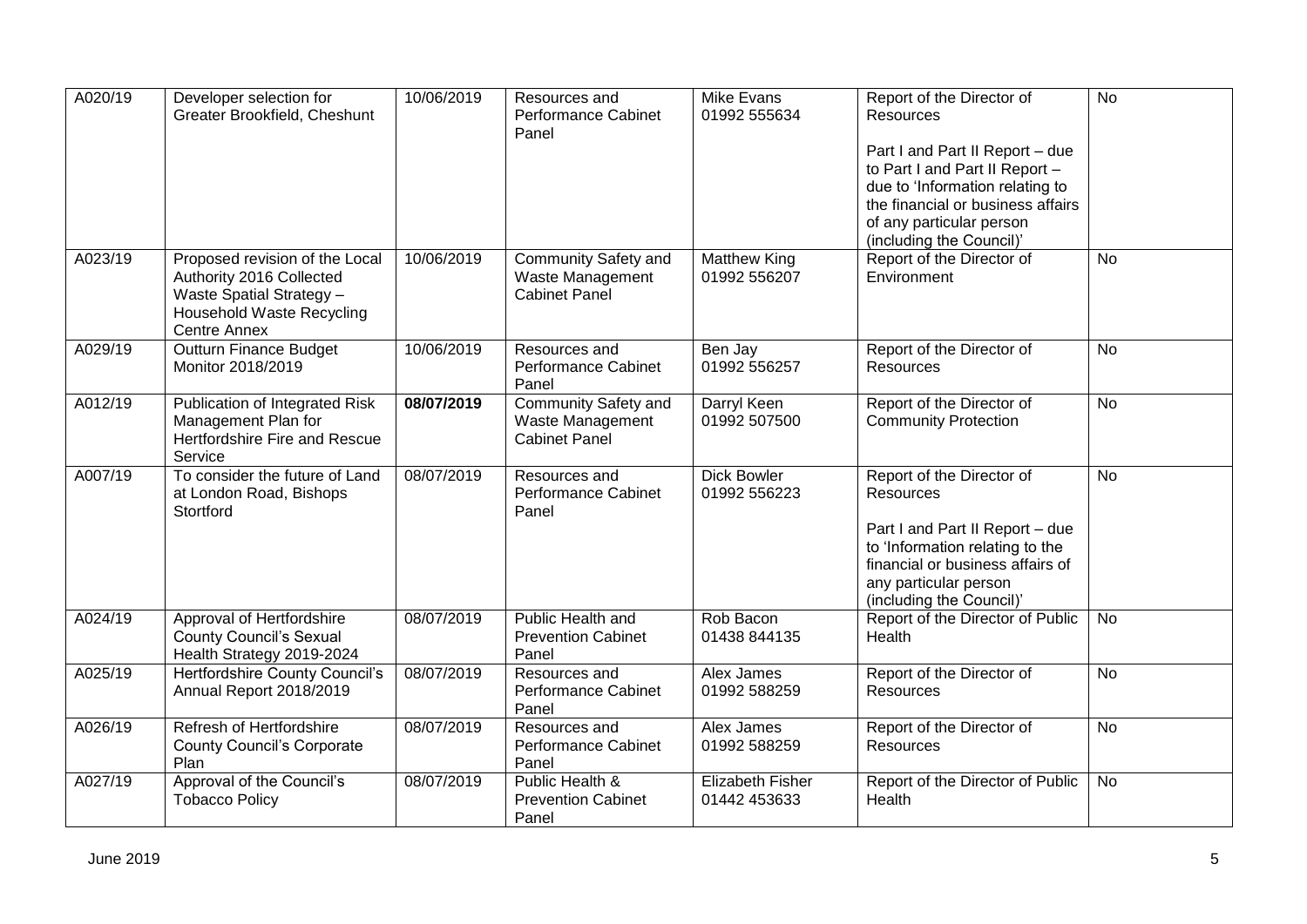| A020/19 | Developer selection for<br>Greater Brookfield, Cheshunt                                                                                    | 10/06/2019 | Resources and<br>Performance Cabinet<br>Panel                           | <b>Mike Evans</b><br>01992 555634   | Report of the Director of<br><b>Resources</b>                                                                                   | $\overline{N}$ |
|---------|--------------------------------------------------------------------------------------------------------------------------------------------|------------|-------------------------------------------------------------------------|-------------------------------------|---------------------------------------------------------------------------------------------------------------------------------|----------------|
|         |                                                                                                                                            |            |                                                                         |                                     | Part I and Part II Report - due<br>to Part I and Part II Report -<br>due to 'Information relating to                            |                |
|         |                                                                                                                                            |            |                                                                         |                                     | the financial or business affairs<br>of any particular person                                                                   |                |
|         |                                                                                                                                            |            |                                                                         |                                     | (including the Council)'                                                                                                        |                |
| A023/19 | Proposed revision of the Local<br>Authority 2016 Collected<br>Waste Spatial Strategy -<br><b>Household Waste Recycling</b><br>Centre Annex | 10/06/2019 | <b>Community Safety and</b><br>Waste Management<br><b>Cabinet Panel</b> | <b>Matthew King</b><br>01992 556207 | Report of the Director of<br>Environment                                                                                        | <b>No</b>      |
| A029/19 | <b>Outturn Finance Budget</b><br>Monitor 2018/2019                                                                                         | 10/06/2019 | Resources and<br><b>Performance Cabinet</b><br>Panel                    | Ben Jay<br>01992 556257             | Report of the Director of<br>Resources                                                                                          | <b>No</b>      |
| A012/19 | Publication of Integrated Risk<br>Management Plan for<br>Hertfordshire Fire and Rescue<br>Service                                          | 08/07/2019 | Community Safety and<br>Waste Management<br><b>Cabinet Panel</b>        | Darryl Keen<br>01992 507500         | Report of the Director of<br><b>Community Protection</b>                                                                        | <b>No</b>      |
| A007/19 | To consider the future of Land<br>at London Road, Bishops<br>Stortford                                                                     | 08/07/2019 | Resources and<br>Performance Cabinet<br>Panel                           | <b>Dick Bowler</b><br>01992 556223  | Report of the Director of<br><b>Resources</b>                                                                                   | $\overline{N}$ |
|         |                                                                                                                                            |            |                                                                         |                                     | Part I and Part II Report - due<br>to 'Information relating to the<br>financial or business affairs of<br>any particular person |                |
|         |                                                                                                                                            |            |                                                                         |                                     | (including the Council)'                                                                                                        |                |
| A024/19 | Approval of Hertfordshire<br><b>County Council's Sexual</b><br>Health Strategy 2019-2024                                                   | 08/07/2019 | Public Health and<br><b>Prevention Cabinet</b><br>Panel                 | Rob Bacon<br>01438 844135           | Report of the Director of Public<br>Health                                                                                      | No             |
| A025/19 | Hertfordshire County Council's<br>Annual Report 2018/2019                                                                                  | 08/07/2019 | Resources and<br>Performance Cabinet<br>Panel                           | Alex James<br>01992 588259          | Report of the Director of<br><b>Resources</b>                                                                                   | $\overline{N}$ |
| A026/19 | Refresh of Hertfordshire<br><b>County Council's Corporate</b><br>Plan                                                                      | 08/07/2019 | Resources and<br><b>Performance Cabinet</b><br>Panel                    | Alex James<br>01992 588259          | Report of the Director of<br>Resources                                                                                          | $\overline{N}$ |
| A027/19 | Approval of the Council's<br><b>Tobacco Policy</b>                                                                                         | 08/07/2019 | Public Health &<br><b>Prevention Cabinet</b><br>Panel                   | Elizabeth Fisher<br>01442 453633    | Report of the Director of Public<br>Health                                                                                      | No             |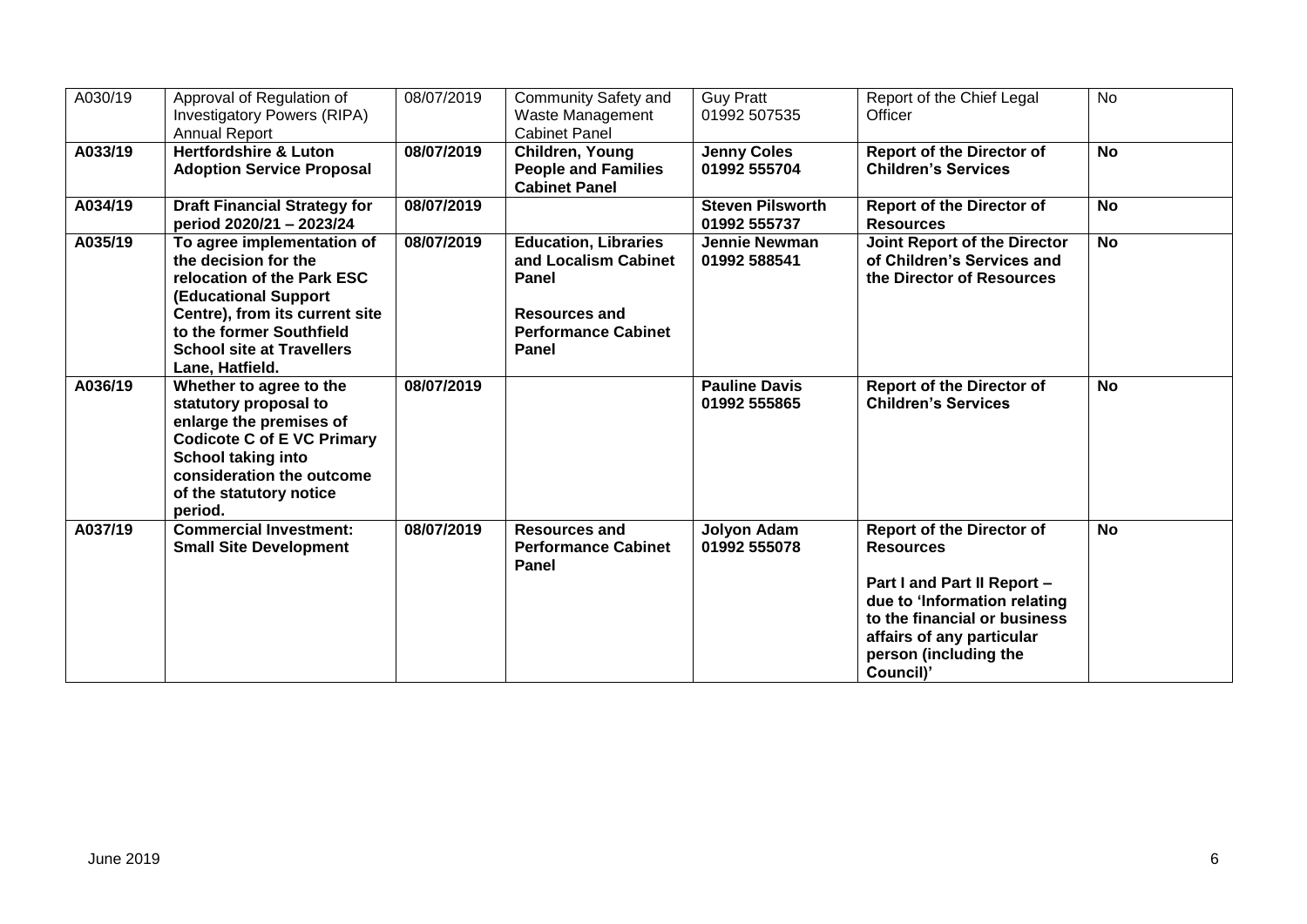| A030/19 | Approval of Regulation of<br><b>Investigatory Powers (RIPA)</b><br><b>Annual Report</b>                                                                                                                                              | 08/07/2019 | <b>Community Safety and</b><br>Waste Management<br><b>Cabinet Panel</b>                                                            | <b>Guy Pratt</b><br>01992 507535        | Report of the Chief Legal<br>Officer                                                                                                                                                                                   | <b>No</b> |
|---------|--------------------------------------------------------------------------------------------------------------------------------------------------------------------------------------------------------------------------------------|------------|------------------------------------------------------------------------------------------------------------------------------------|-----------------------------------------|------------------------------------------------------------------------------------------------------------------------------------------------------------------------------------------------------------------------|-----------|
| A033/19 | <b>Hertfordshire &amp; Luton</b><br><b>Adoption Service Proposal</b>                                                                                                                                                                 | 08/07/2019 | Children, Young<br><b>People and Families</b><br><b>Cabinet Panel</b>                                                              | <b>Jenny Coles</b><br>01992 555704      | <b>Report of the Director of</b><br><b>Children's Services</b>                                                                                                                                                         | <b>No</b> |
| A034/19 | <b>Draft Financial Strategy for</b><br>period 2020/21 - 2023/24                                                                                                                                                                      | 08/07/2019 |                                                                                                                                    | <b>Steven Pilsworth</b><br>01992 555737 | <b>Report of the Director of</b><br><b>Resources</b>                                                                                                                                                                   | <b>No</b> |
| A035/19 | To agree implementation of<br>the decision for the<br>relocation of the Park ESC<br><b>(Educational Support</b><br>Centre), from its current site<br>to the former Southfield<br><b>School site at Travellers</b><br>Lane, Hatfield. | 08/07/2019 | <b>Education, Libraries</b><br>and Localism Cabinet<br>Panel<br><b>Resources and</b><br><b>Performance Cabinet</b><br><b>Panel</b> | <b>Jennie Newman</b><br>01992 588541    | <b>Joint Report of the Director</b><br>of Children's Services and<br>the Director of Resources                                                                                                                         | <b>No</b> |
| A036/19 | Whether to agree to the<br>statutory proposal to<br>enlarge the premises of<br><b>Codicote C of E VC Primary</b><br><b>School taking into</b><br>consideration the outcome<br>of the statutory notice<br>period.                     | 08/07/2019 |                                                                                                                                    | <b>Pauline Davis</b><br>01992 555865    | <b>Report of the Director of</b><br><b>Children's Services</b>                                                                                                                                                         | <b>No</b> |
| A037/19 | <b>Commercial Investment:</b><br><b>Small Site Development</b>                                                                                                                                                                       | 08/07/2019 | <b>Resources and</b><br><b>Performance Cabinet</b><br><b>Panel</b>                                                                 | Jolyon Adam<br>01992 555078             | <b>Report of the Director of</b><br><b>Resources</b><br>Part I and Part II Report -<br>due to 'Information relating<br>to the financial or business<br>affairs of any particular<br>person (including the<br>Council)' | <b>No</b> |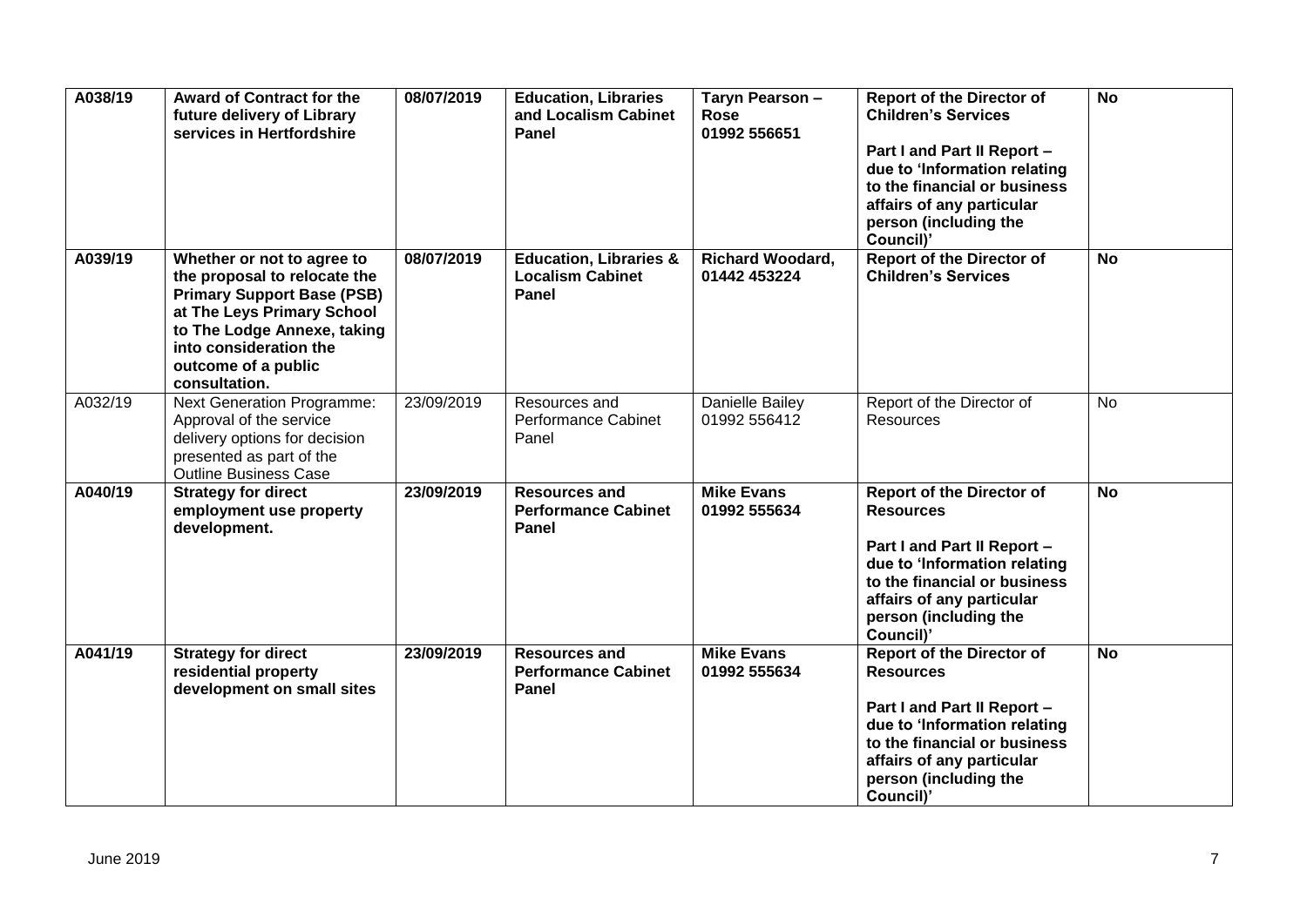| A038/19 | <b>Award of Contract for the</b><br>future delivery of Library<br>services in Hertfordshire                                                                                                                                    | 08/07/2019 | <b>Education, Libraries</b><br>and Localism Cabinet<br>Panel          | Taryn Pearson -<br><b>Rose</b><br>01992 556651 | <b>Report of the Director of</b><br><b>Children's Services</b><br>Part I and Part II Report -<br>due to 'Information relating<br>to the financial or business<br>affairs of any particular<br>person (including the<br>Council)' | <b>No</b> |
|---------|--------------------------------------------------------------------------------------------------------------------------------------------------------------------------------------------------------------------------------|------------|-----------------------------------------------------------------------|------------------------------------------------|----------------------------------------------------------------------------------------------------------------------------------------------------------------------------------------------------------------------------------|-----------|
| A039/19 | Whether or not to agree to<br>the proposal to relocate the<br><b>Primary Support Base (PSB)</b><br>at The Leys Primary School<br>to The Lodge Annexe, taking<br>into consideration the<br>outcome of a public<br>consultation. | 08/07/2019 | <b>Education, Libraries &amp;</b><br><b>Localism Cabinet</b><br>Panel | <b>Richard Woodard,</b><br>01442 453224        | <b>Report of the Director of</b><br><b>Children's Services</b>                                                                                                                                                                   | <b>No</b> |
| A032/19 | <b>Next Generation Programme:</b><br>Approval of the service<br>delivery options for decision<br>presented as part of the<br><b>Outline Business Case</b>                                                                      | 23/09/2019 | Resources and<br><b>Performance Cabinet</b><br>Panel                  | Danielle Bailey<br>01992 556412                | Report of the Director of<br><b>Resources</b>                                                                                                                                                                                    | <b>No</b> |
| A040/19 | <b>Strategy for direct</b><br>employment use property<br>development.                                                                                                                                                          | 23/09/2019 | <b>Resources and</b><br><b>Performance Cabinet</b><br>Panel           | <b>Mike Evans</b><br>01992 555634              | <b>Report of the Director of</b><br><b>Resources</b><br>Part I and Part II Report -<br>due to 'Information relating<br>to the financial or business<br>affairs of any particular<br>person (including the<br>Council)'           | <b>No</b> |
| A041/19 | <b>Strategy for direct</b><br>residential property<br>development on small sites                                                                                                                                               | 23/09/2019 | <b>Resources and</b><br><b>Performance Cabinet</b><br>Panel           | <b>Mike Evans</b><br>01992 555634              | <b>Report of the Director of</b><br><b>Resources</b><br>Part I and Part II Report -<br>due to 'Information relating<br>to the financial or business<br>affairs of any particular<br>person (including the<br>Council)'           | <b>No</b> |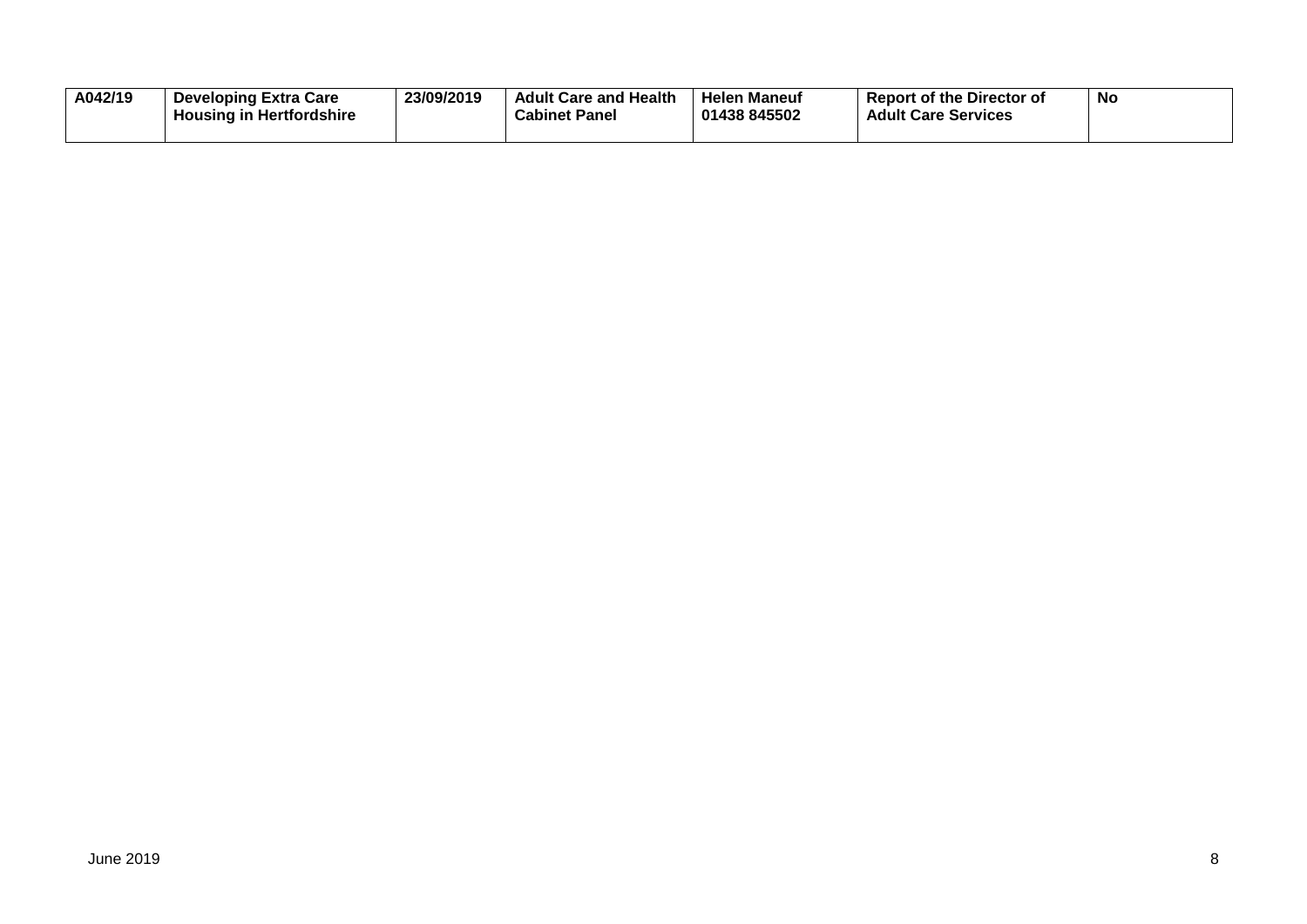| A042/19 | <b>Developing Extra Care</b><br><b>Housing in Hertfordshire</b> | 23/09/2019 | <b>Adult Care and Health</b><br><b>Cabinet Panel</b> | <b>Helen Maneuf</b><br>01438 845502 | <b>Report of the Director of</b><br><b>Adult Care Services</b> | NC |
|---------|-----------------------------------------------------------------|------------|------------------------------------------------------|-------------------------------------|----------------------------------------------------------------|----|
|         |                                                                 |            |                                                      |                                     |                                                                |    |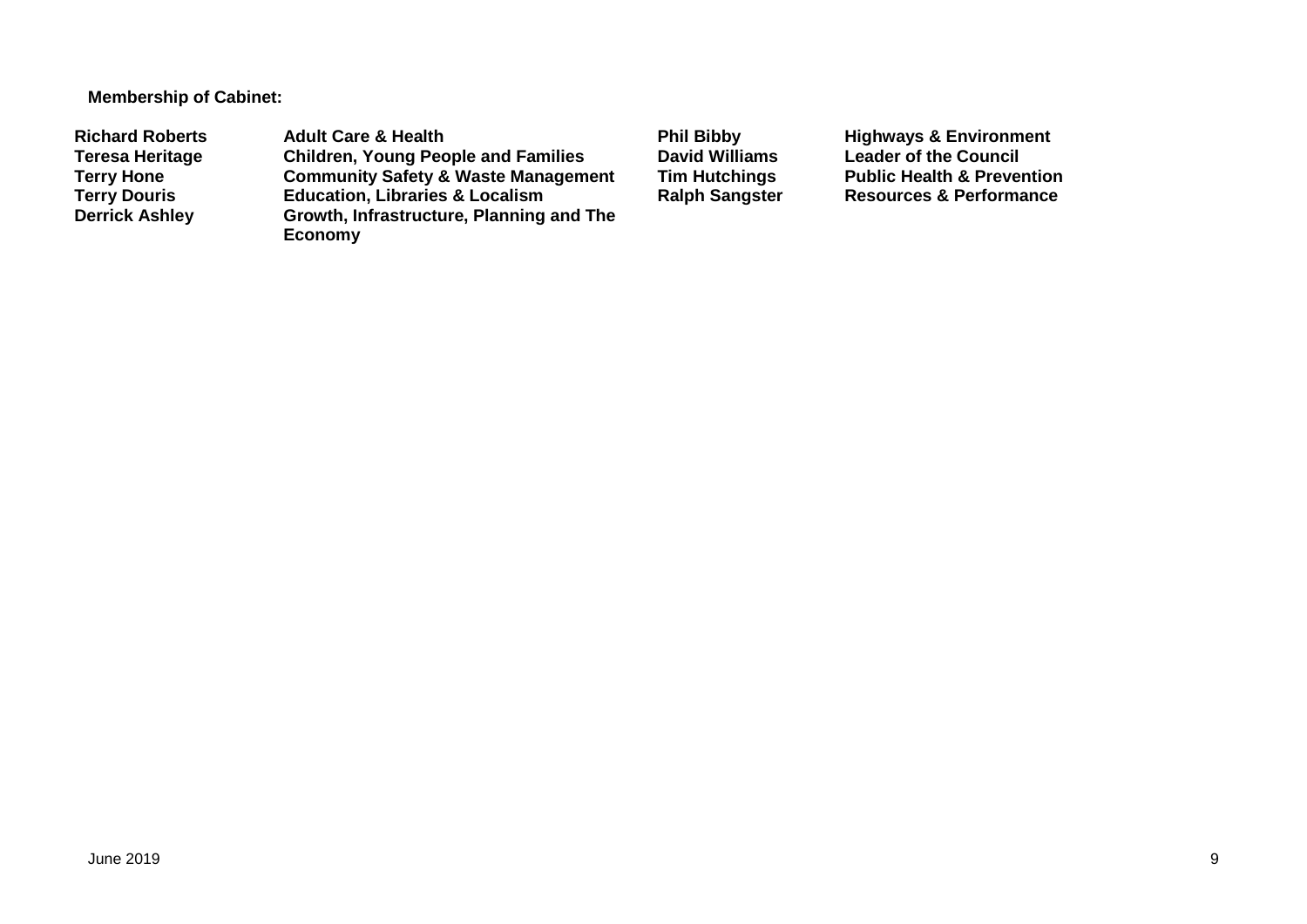**Membership of Cabinet:** 

Richard Roberts **Adult Care & Health** Phil Bibby Highways & Environment<br>
Teresa Heritage Children, Young People and Families David Williams Leader of the Council **Teresa Heritage Children, Young People and Families David Williams Leader of the Council Terry Hone Community Safety & Waste Management Tim Hutchings** Public Health & Prevention<br> **Terry Douris Education, Libraries & Localism** Ralph Sangster Resources & Performance **Terry Douris <b>Education, Libraries & Localism**<br> **Derrick Ashley** Growth, Infrastructure, Planning **Growth, Infrastructure, Planning and The Economy**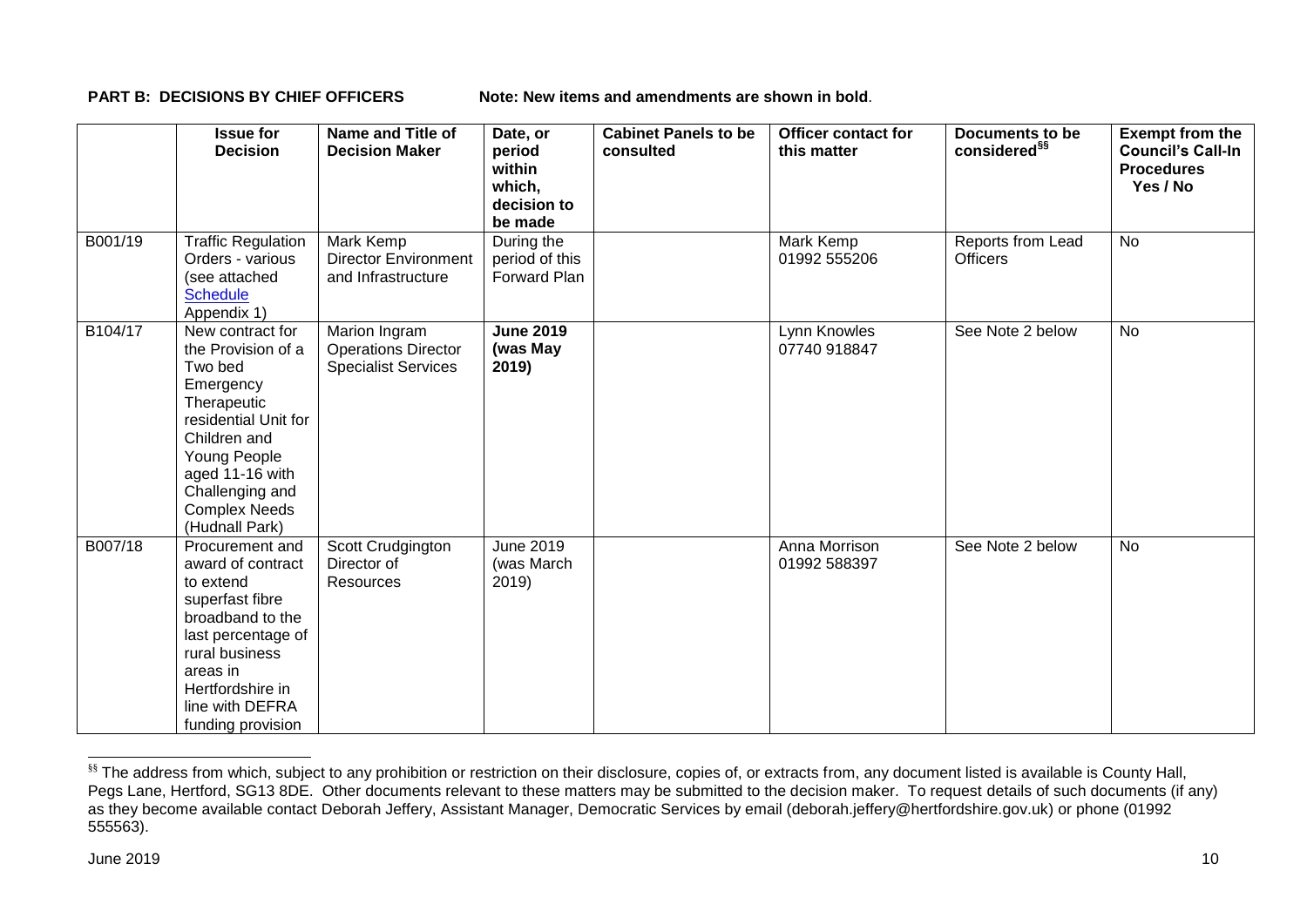**PART B: DECISIONS BY CHIEF OFFICERS Note: New items and amendments are shown in bold.** 

|         | <b>Issue for</b><br><b>Decision</b>                                                                                                                                                                                   | <b>Name and Title of</b><br><b>Decision Maker</b>                         | Date, or<br>period<br>within<br>which,<br>decision to<br>be made | <b>Cabinet Panels to be</b><br>consulted | <b>Officer contact for</b><br>this matter | <b>Documents to be</b><br>considered <sup>§§</sup> | <b>Exempt from the</b><br><b>Council's Call-In</b><br><b>Procedures</b><br>Yes / No |
|---------|-----------------------------------------------------------------------------------------------------------------------------------------------------------------------------------------------------------------------|---------------------------------------------------------------------------|------------------------------------------------------------------|------------------------------------------|-------------------------------------------|----------------------------------------------------|-------------------------------------------------------------------------------------|
| B001/19 | <b>Traffic Regulation</b><br>Orders - various<br>(see attached<br><b>Schedule</b><br>Appendix 1)                                                                                                                      | Mark Kemp<br><b>Director Environment</b><br>and Infrastructure            | During the<br>period of this<br>Forward Plan                     |                                          | Mark Kemp<br>01992 555206                 | Reports from Lead<br><b>Officers</b>               | <b>No</b>                                                                           |
| B104/17 | New contract for<br>the Provision of a<br>Two bed<br>Emergency<br>Therapeutic<br>residential Unit for<br>Children and<br>Young People<br>aged 11-16 with<br>Challenging and<br><b>Complex Needs</b><br>(Hudnall Park) | Marion Ingram<br><b>Operations Director</b><br><b>Specialist Services</b> | <b>June 2019</b><br>(was May<br>2019)                            |                                          | Lynn Knowles<br>07740 918847              | See Note 2 below                                   | <b>No</b>                                                                           |
| B007/18 | Procurement and<br>award of contract<br>to extend<br>superfast fibre<br>broadband to the<br>last percentage of<br>rural business<br>areas in<br>Hertfordshire in<br>line with DEFRA<br>funding provision              | Scott Crudgington<br>Director of<br>Resources                             | <b>June 2019</b><br>(was March<br>2019)                          |                                          | Anna Morrison<br>01992 588397             | See Note 2 below                                   | <b>No</b>                                                                           |

<sup>&</sup>lt;sup>§§</sup> The address from which, subject to any prohibition or restriction on their disclosure, copies of, or extracts from, any document listed is available is County Hall, Pegs Lane, Hertford, SG13 8DE. Other documents relevant to these matters may be submitted to the decision maker. To request details of such documents (if any) as they become available contact Deborah Jeffery, Assistant Manager, Democratic Services by email (deborah.jeffery@hertfordshire.gov.uk) or phone (01992 555563).

-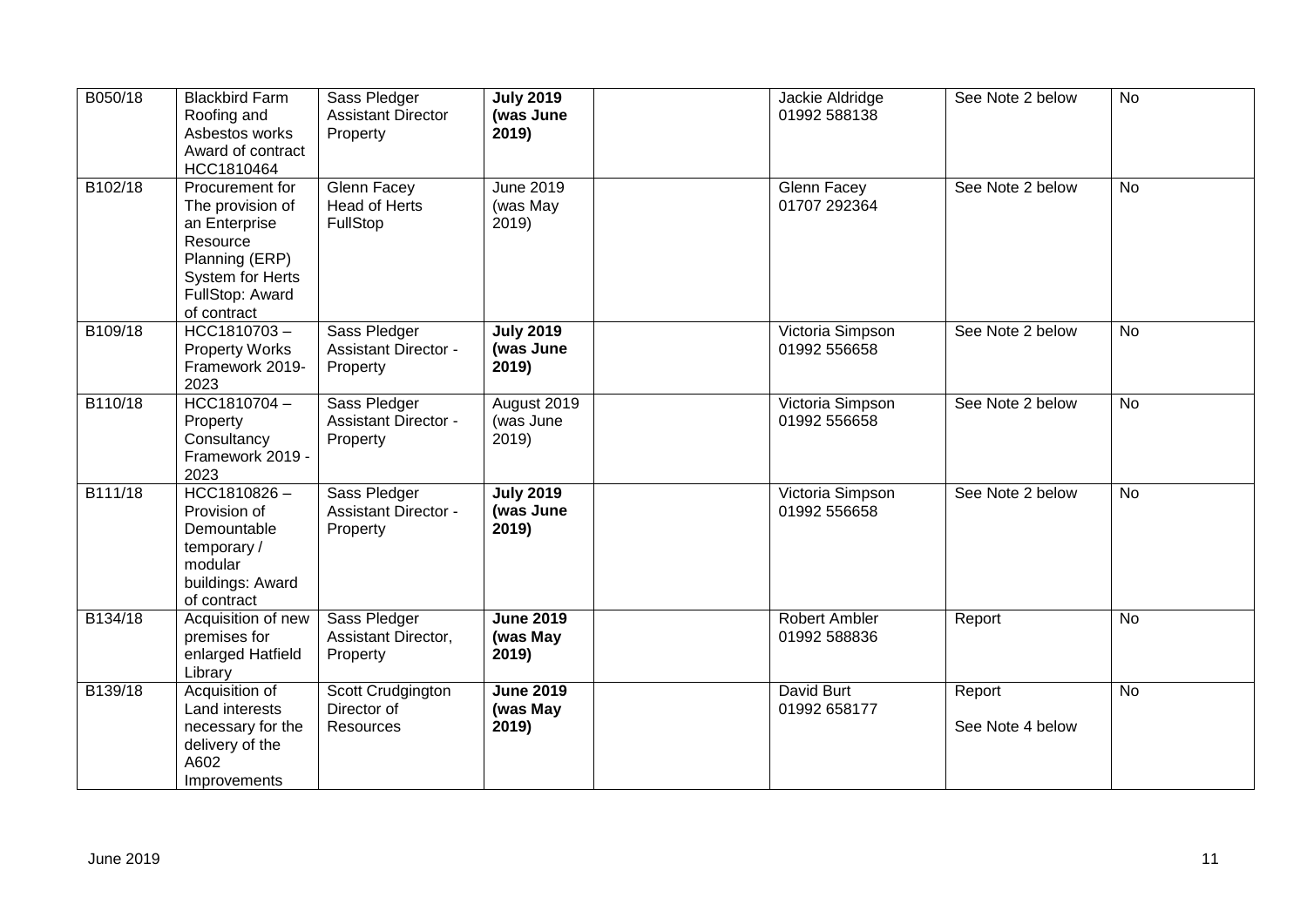| B050/18 | <b>Blackbird Farm</b><br>Roofing and<br>Asbestos works<br>Award of contract<br>HCC1810464                                                | Sass Pledger<br><b>Assistant Director</b><br>Property   | <b>July 2019</b><br>(was June<br>2019) | Jackie Aldridge<br>01992 588138  | See Note 2 below           | <b>No</b> |
|---------|------------------------------------------------------------------------------------------------------------------------------------------|---------------------------------------------------------|----------------------------------------|----------------------------------|----------------------------|-----------|
| B102/18 | Procurement for<br>The provision of<br>an Enterprise<br>Resource<br>Planning (ERP)<br>System for Herts<br>FullStop: Award<br>of contract | Glenn Facey<br><b>Head of Herts</b><br>FullStop         | June 2019<br>(was May<br>2019)         | Glenn Facey<br>01707 292364      | See Note 2 below           | <b>No</b> |
| B109/18 | HCC1810703-<br><b>Property Works</b><br>Framework 2019-<br>2023                                                                          | Sass Pledger<br><b>Assistant Director -</b><br>Property | <b>July 2019</b><br>(was June<br>2019) | Victoria Simpson<br>01992 556658 | See Note 2 below           | No        |
| B110/18 | HCC1810704-<br>Property<br>Consultancy<br>Framework 2019 -<br>2023                                                                       | Sass Pledger<br><b>Assistant Director -</b><br>Property | August 2019<br>(was June<br>2019)      | Victoria Simpson<br>01992 556658 | See Note 2 below           | <b>No</b> |
| B111/18 | $HCC1810826 -$<br>Provision of<br>Demountable<br>temporary/<br>modular<br>buildings: Award<br>of contract                                | Sass Pledger<br><b>Assistant Director -</b><br>Property | <b>July 2019</b><br>(was June<br>2019) | Victoria Simpson<br>01992 556658 | See Note 2 below           | <b>No</b> |
| B134/18 | Acquisition of new<br>premises for<br>enlarged Hatfield<br>Library                                                                       | Sass Pledger<br>Assistant Director,<br>Property         | <b>June 2019</b><br>(was May<br>2019)  | Robert Ambler<br>01992 588836    | Report                     | <b>No</b> |
| B139/18 | Acquisition of<br>Land interests<br>necessary for the<br>delivery of the<br>A602<br>Improvements                                         | Scott Crudgington<br>Director of<br>Resources           | <b>June 2019</b><br>(was May<br>2019)  | David Burt<br>01992 658177       | Report<br>See Note 4 below | <b>No</b> |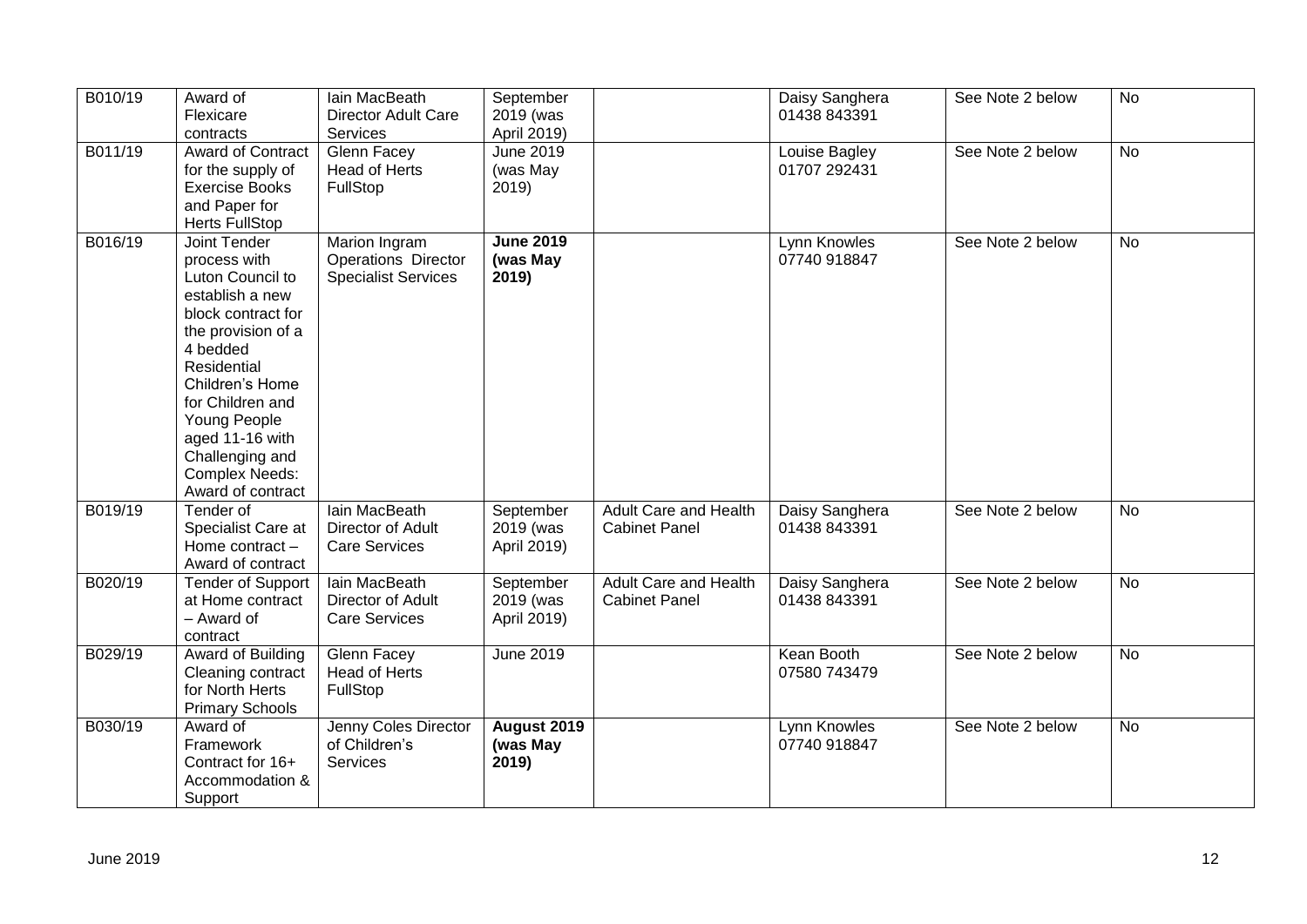| B010/19 | Award of<br>Flexicare<br>contracts                                                                                                                                                                                                                                                    | lain MacBeath<br><b>Director Adult Care</b><br>Services                   | September<br>2019 (was<br>April 2019) |                                                      | Daisy Sanghera<br>01438 843391 | See Note 2 below | <b>No</b>      |
|---------|---------------------------------------------------------------------------------------------------------------------------------------------------------------------------------------------------------------------------------------------------------------------------------------|---------------------------------------------------------------------------|---------------------------------------|------------------------------------------------------|--------------------------------|------------------|----------------|
| B011/19 | Award of Contract<br>for the supply of<br><b>Exercise Books</b><br>and Paper for<br><b>Herts FullStop</b>                                                                                                                                                                             | Glenn Facey<br>Head of Herts<br>FullStop                                  | <b>June 2019</b><br>(was May<br>2019  |                                                      | Louise Bagley<br>01707 292431  | See Note 2 below | No             |
| B016/19 | Joint Tender<br>process with<br>Luton Council to<br>establish a new<br>block contract for<br>the provision of a<br>4 bedded<br>Residential<br>Children's Home<br>for Children and<br>Young People<br>aged 11-16 with<br>Challenging and<br><b>Complex Needs:</b><br>Award of contract | Marion Ingram<br><b>Operations Director</b><br><b>Specialist Services</b> | <b>June 2019</b><br>(was May<br>2019) |                                                      | Lynn Knowles<br>07740 918847   | See Note 2 below | <b>No</b>      |
| B019/19 | Tender of<br>Specialist Care at<br>Home contract -<br>Award of contract                                                                                                                                                                                                               | lain MacBeath<br>Director of Adult<br><b>Care Services</b>                | September<br>2019 (was<br>April 2019) | <b>Adult Care and Health</b><br><b>Cabinet Panel</b> | Daisy Sanghera<br>01438 843391 | See Note 2 below | <b>No</b>      |
| B020/19 | <b>Tender of Support</b><br>at Home contract<br>- Award of<br>contract                                                                                                                                                                                                                | Iain MacBeath<br>Director of Adult<br><b>Care Services</b>                | September<br>2019 (was<br>April 2019) | <b>Adult Care and Health</b><br><b>Cabinet Panel</b> | Daisy Sanghera<br>01438 843391 | See Note 2 below | <b>No</b>      |
| B029/19 | Award of Building<br>Cleaning contract<br>for North Herts<br><b>Primary Schools</b>                                                                                                                                                                                                   | <b>Glenn Facey</b><br>Head of Herts<br>FullStop                           | <b>June 2019</b>                      |                                                      | Kean Booth<br>07580 743479     | See Note 2 below | $\overline{N}$ |
| B030/19 | Award of<br>Framework<br>Contract for 16+<br>Accommodation &<br>Support                                                                                                                                                                                                               | Jenny Coles Director<br>of Children's<br>Services                         | August 2019<br>(was May<br>2019)      |                                                      | Lynn Knowles<br>07740 918847   | See Note 2 below | No             |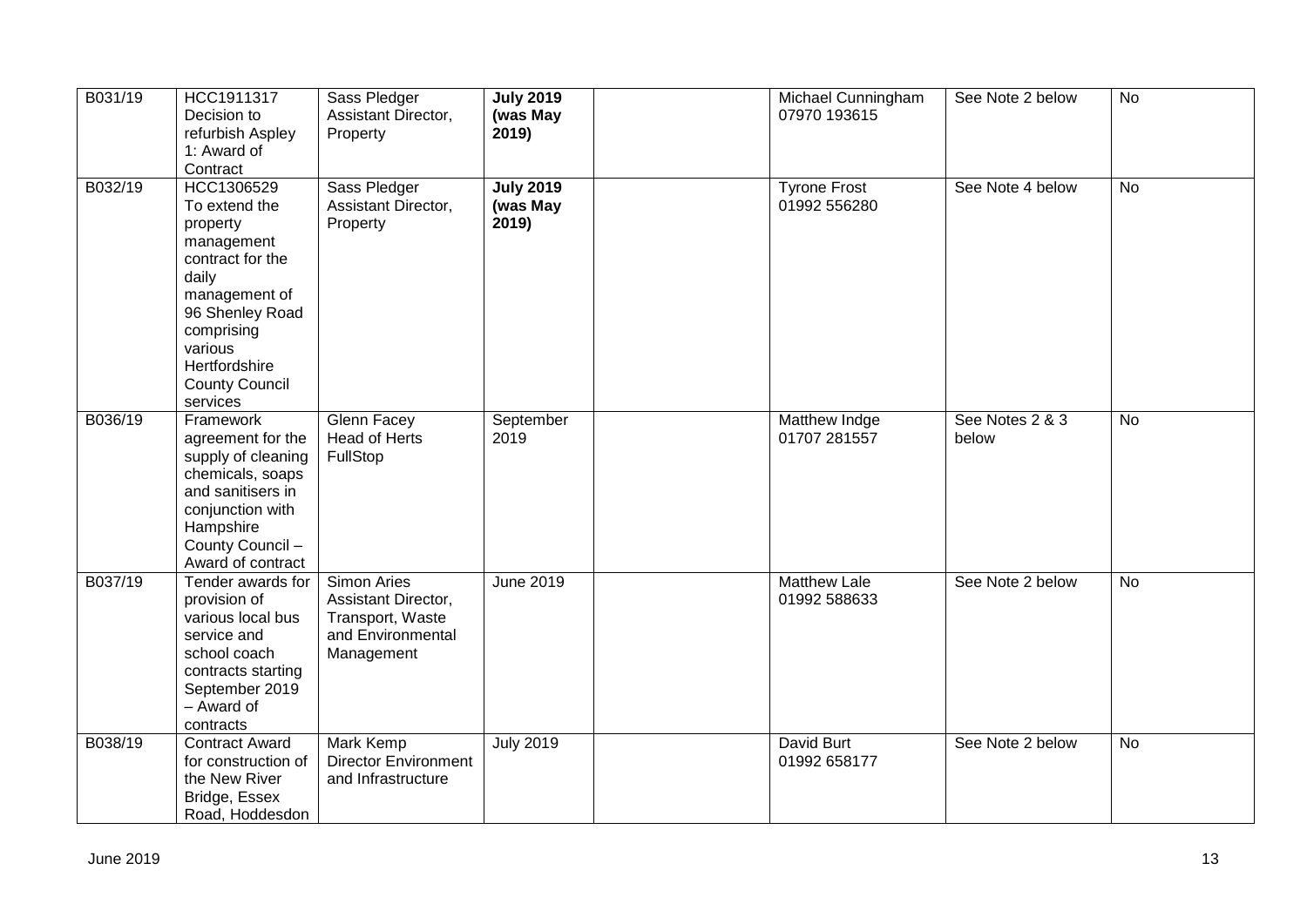| B031/19   | HCC1911317<br>Decision to<br>refurbish Aspley<br>1: Award of<br>Contract                                                                                                                              | Sass Pledger<br>Assistant Director,<br>Property                                                  | <b>July 2019</b><br>(was May<br>2019) | Michael Cunningham<br>07970 193615  | See Note 2 below         | No             |
|-----------|-------------------------------------------------------------------------------------------------------------------------------------------------------------------------------------------------------|--------------------------------------------------------------------------------------------------|---------------------------------------|-------------------------------------|--------------------------|----------------|
| B032/19   | HCC1306529<br>To extend the<br>property<br>management<br>contract for the<br>daily<br>management of<br>96 Shenley Road<br>comprising<br>various<br>Hertfordshire<br><b>County Council</b><br>services | Sass Pledger<br>Assistant Director,<br>Property                                                  | <b>July 2019</b><br>(was May<br>2019) | <b>Tyrone Frost</b><br>01992 556280 | See Note 4 below         | $\overline{N}$ |
| B036/19   | Framework<br>agreement for the<br>supply of cleaning<br>chemicals, soaps<br>and sanitisers in<br>conjunction with<br>Hampshire<br>County Council -<br>Award of contract                               | <b>Glenn Facey</b><br>Head of Herts<br>FullStop                                                  | September<br>2019                     | Matthew Indge<br>01707 281557       | See Notes 2 & 3<br>below | No             |
| B037/19   | Tender awards for<br>provision of<br>various local bus<br>service and<br>school coach<br>contracts starting<br>September 2019<br>- Award of<br>contracts                                              | <b>Simon Aries</b><br>Assistant Director,<br>Transport, Waste<br>and Environmental<br>Management | June 2019                             | <b>Matthew Lale</b><br>01992 588633 | See Note 2 below         | <b>No</b>      |
| B038/19   | <b>Contract Award</b><br>for construction of<br>the New River<br>Bridge, Essex<br>Road, Hoddesdon                                                                                                     | <b>Mark Kemp</b><br><b>Director Environment</b><br>and Infrastructure                            | <b>July 2019</b>                      | David Burt<br>01992 658177          | See Note 2 below         | <b>No</b>      |
| June 2019 |                                                                                                                                                                                                       |                                                                                                  |                                       |                                     |                          | 13             |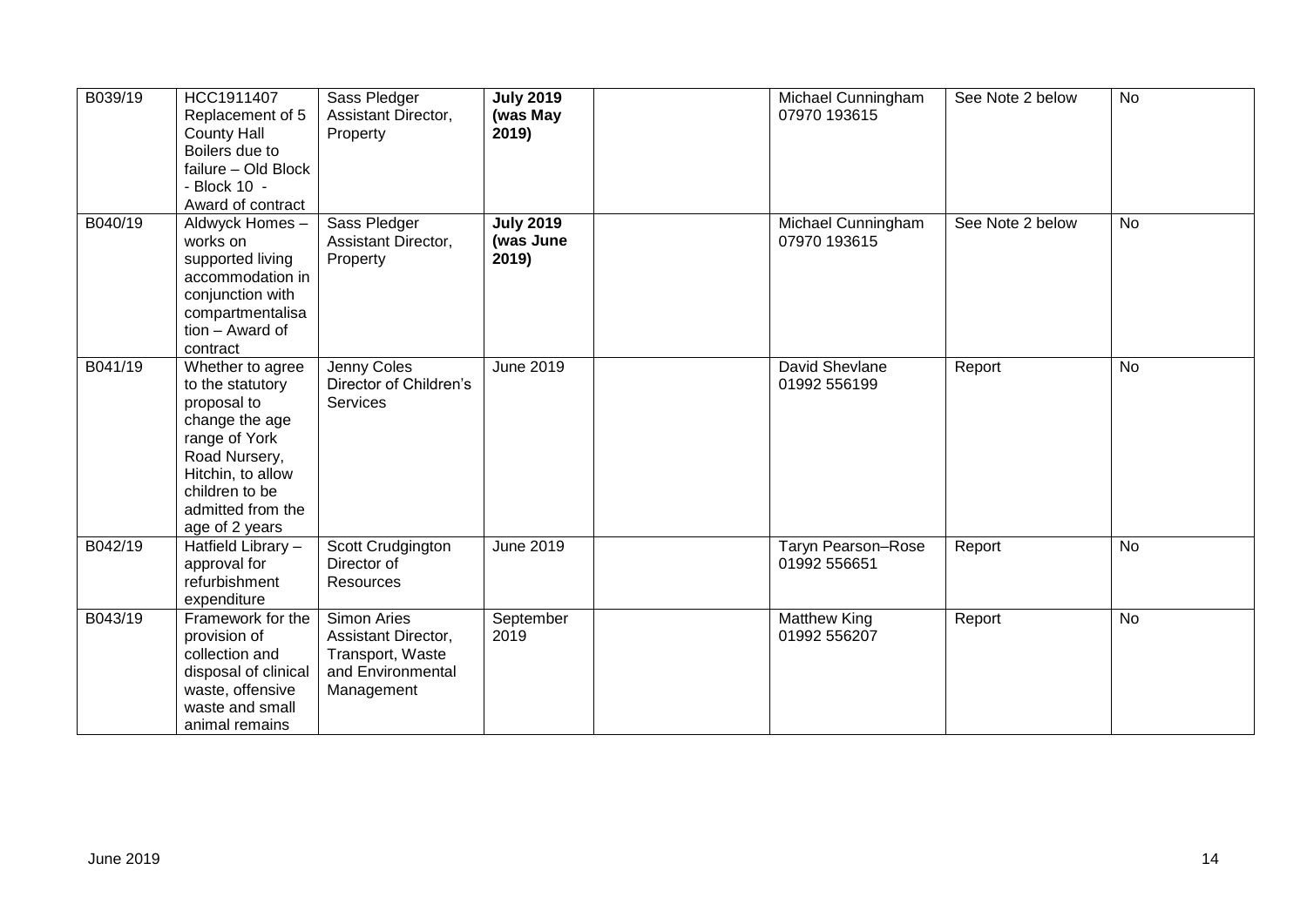| B039/19 | HCC1911407<br>Replacement of 5<br><b>County Hall</b><br>Boilers due to<br>failure - Old Block<br>- Block 10 -<br>Award of contract                                                    | Sass Pledger<br>Assistant Director,<br>Property                                           | <b>July 2019</b><br>(was May<br>2019)  | Michael Cunningham<br>07970 193615  | See Note 2 below | <b>No</b>      |
|---------|---------------------------------------------------------------------------------------------------------------------------------------------------------------------------------------|-------------------------------------------------------------------------------------------|----------------------------------------|-------------------------------------|------------------|----------------|
| B040/19 | Aldwyck Homes -<br>works on<br>supported living<br>accommodation in<br>conjunction with<br>compartmentalisa<br>tion - Award of<br>contract                                            | Sass Pledger<br>Assistant Director,<br>Property                                           | <b>July 2019</b><br>(was June<br>2019) | Michael Cunningham<br>07970 193615  | See Note 2 below | <b>No</b>      |
| B041/19 | Whether to agree<br>to the statutory<br>proposal to<br>change the age<br>range of York<br>Road Nursery,<br>Hitchin, to allow<br>children to be<br>admitted from the<br>age of 2 years | Jenny Coles<br>Director of Children's<br><b>Services</b>                                  | June 2019                              | David Shevlane<br>01992 556199      | Report           | <b>No</b>      |
| B042/19 | Hatfield Library -<br>approval for<br>refurbishment<br>expenditure                                                                                                                    | Scott Crudgington<br>Director of<br><b>Resources</b>                                      | <b>June 2019</b>                       | Taryn Pearson-Rose<br>01992 556651  | Report           | $\overline{N}$ |
| B043/19 | Framework for the<br>provision of<br>collection and<br>disposal of clinical<br>waste, offensive<br>waste and small<br>animal remains                                                  | Simon Aries<br>Assistant Director,<br>Transport, Waste<br>and Environmental<br>Management | September<br>2019                      | <b>Matthew King</b><br>01992 556207 | Report           | No             |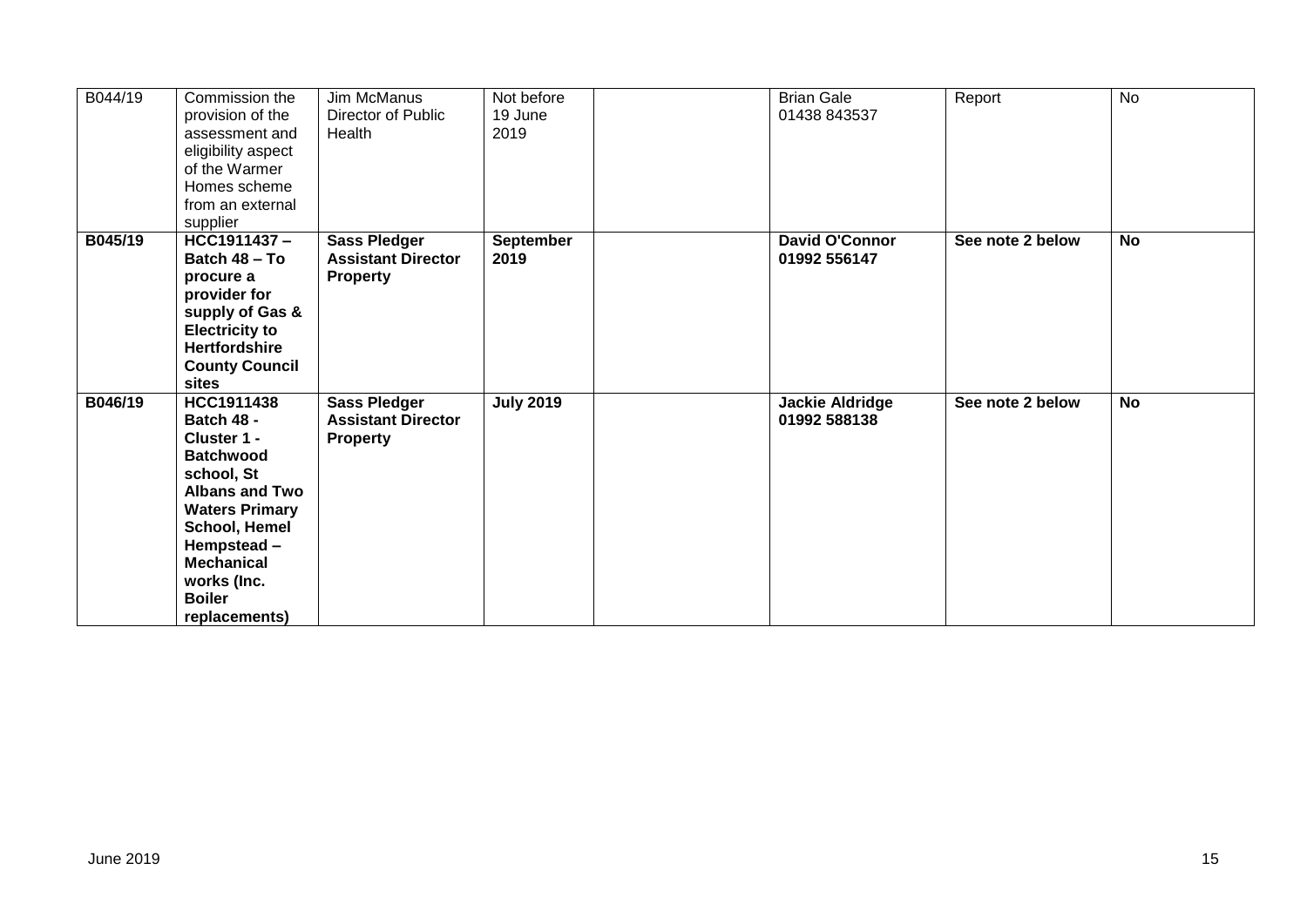| B044/19 | Commission the<br>provision of the<br>assessment and<br>eligibility aspect<br>of the Warmer<br>Homes scheme<br>from an external<br>supplier                                                                                                    | <b>Jim McManus</b><br>Director of Public<br>Health                  | Not before<br>19 June<br>2019 | <b>Brian Gale</b><br>01438 843537      | Report           | <b>No</b> |
|---------|------------------------------------------------------------------------------------------------------------------------------------------------------------------------------------------------------------------------------------------------|---------------------------------------------------------------------|-------------------------------|----------------------------------------|------------------|-----------|
| B045/19 | HCC1911437-<br>Batch 48 - To<br>procure a<br>provider for<br>supply of Gas &<br><b>Electricity to</b><br><b>Hertfordshire</b><br><b>County Council</b><br>sites                                                                                | <b>Sass Pledger</b><br><b>Assistant Director</b><br><b>Property</b> | <b>September</b><br>2019      | <b>David O'Connor</b><br>01992 556147  | See note 2 below | <b>No</b> |
| B046/19 | <b>HCC1911438</b><br><b>Batch 48 -</b><br>Cluster 1 -<br><b>Batchwood</b><br>school, St<br><b>Albans and Two</b><br><b>Waters Primary</b><br>School, Hemel<br>Hempstead-<br><b>Mechanical</b><br>works (Inc.<br><b>Boiler</b><br>replacements) | Sass Pledger<br><b>Assistant Director</b><br><b>Property</b>        | <b>July 2019</b>              | <b>Jackie Aldridge</b><br>01992 588138 | See note 2 below | <b>No</b> |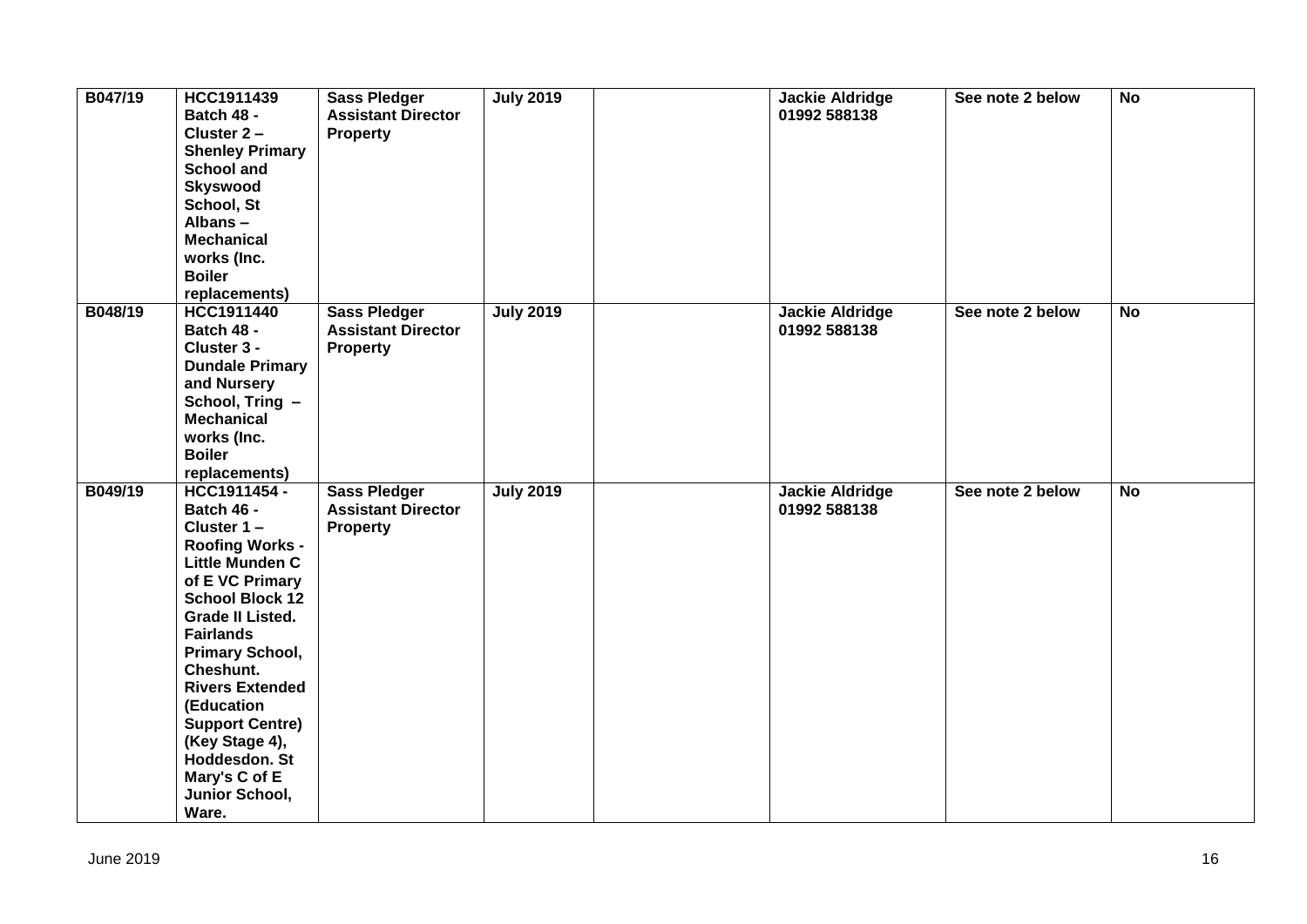| B047/19 | HCC1911439<br>Batch 48 -<br>Cluster 2-<br><b>Shenley Primary</b><br><b>School and</b><br><b>Skyswood</b><br>School, St<br>Albans-<br><b>Mechanical</b><br>works (Inc.<br><b>Boiler</b><br>replacements)                                                                                                                                                                   | <b>Sass Pledger</b><br><b>Assistant Director</b><br><b>Property</b> | <b>July 2019</b> | <b>Jackie Aldridge</b><br>01992 588138 | See note 2 below | <b>No</b>      |
|---------|---------------------------------------------------------------------------------------------------------------------------------------------------------------------------------------------------------------------------------------------------------------------------------------------------------------------------------------------------------------------------|---------------------------------------------------------------------|------------------|----------------------------------------|------------------|----------------|
| B048/19 | HCC1911440<br>Batch 48 -<br>Cluster 3 -<br><b>Dundale Primary</b><br>and Nursery<br>School, Tring -<br><b>Mechanical</b><br>works (Inc.<br><b>Boiler</b><br>replacements)                                                                                                                                                                                                 | <b>Sass Pledger</b><br><b>Assistant Director</b><br><b>Property</b> | <b>July 2019</b> | <b>Jackie Aldridge</b><br>01992 588138 | See note 2 below | <b>No</b>      |
| B049/19 | HCC1911454 -<br>Batch 46 -<br>Cluster 1-<br><b>Roofing Works -</b><br>Little Munden C<br>of E VC Primary<br><b>School Block 12</b><br><b>Grade II Listed.</b><br><b>Fairlands</b><br><b>Primary School,</b><br>Cheshunt.<br><b>Rivers Extended</b><br>(Education<br><b>Support Centre)</b><br>(Key Stage 4),<br>Hoddesdon. St<br>Mary's C of E<br>Junior School,<br>Ware. | <b>Sass Pledger</b><br><b>Assistant Director</b><br><b>Property</b> | <b>July 2019</b> | <b>Jackie Aldridge</b><br>01992 588138 | See note 2 below | $\overline{N}$ |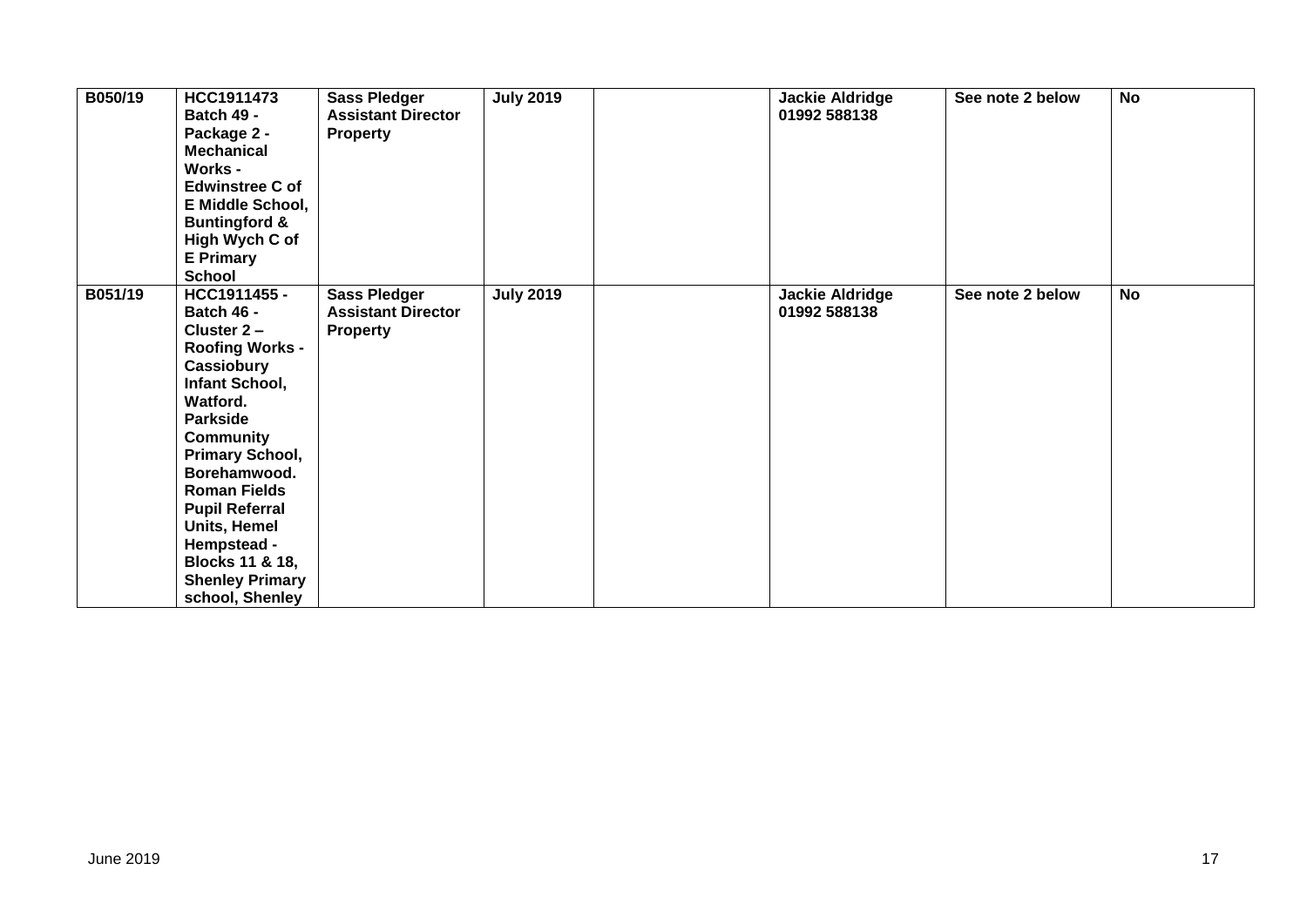| B050/19 | HCC1911473<br><b>Batch 49 -</b><br>Package 2 -<br><b>Mechanical</b><br><b>Works -</b><br><b>Edwinstree C of</b><br><b>E Middle School,</b><br><b>Buntingford &amp;</b><br>High Wych C of<br><b>E</b> Primary<br><b>School</b>                                                                                                              | <b>Sass Pledger</b><br><b>Assistant Director</b><br><b>Property</b> | <b>July 2019</b> | <b>Jackie Aldridge</b><br>01992 588138 | See note 2 below | <b>No</b> |
|---------|--------------------------------------------------------------------------------------------------------------------------------------------------------------------------------------------------------------------------------------------------------------------------------------------------------------------------------------------|---------------------------------------------------------------------|------------------|----------------------------------------|------------------|-----------|
| B051/19 | HCC1911455 -<br><b>Batch 46 -</b><br>Cluster $2 -$<br><b>Roofing Works -</b><br>Cassiobury<br>Infant School,<br>Watford.<br><b>Parkside</b><br>Community<br>Primary School,<br>Borehamwood.<br><b>Roman Fields</b><br><b>Pupil Referral</b><br>Units, Hemel<br>Hempstead -<br>Blocks 11 & 18,<br><b>Shenley Primary</b><br>school, Shenley | <b>Sass Pledger</b><br><b>Assistant Director</b><br><b>Property</b> | <b>July 2019</b> | <b>Jackie Aldridge</b><br>01992 588138 | See note 2 below | <b>No</b> |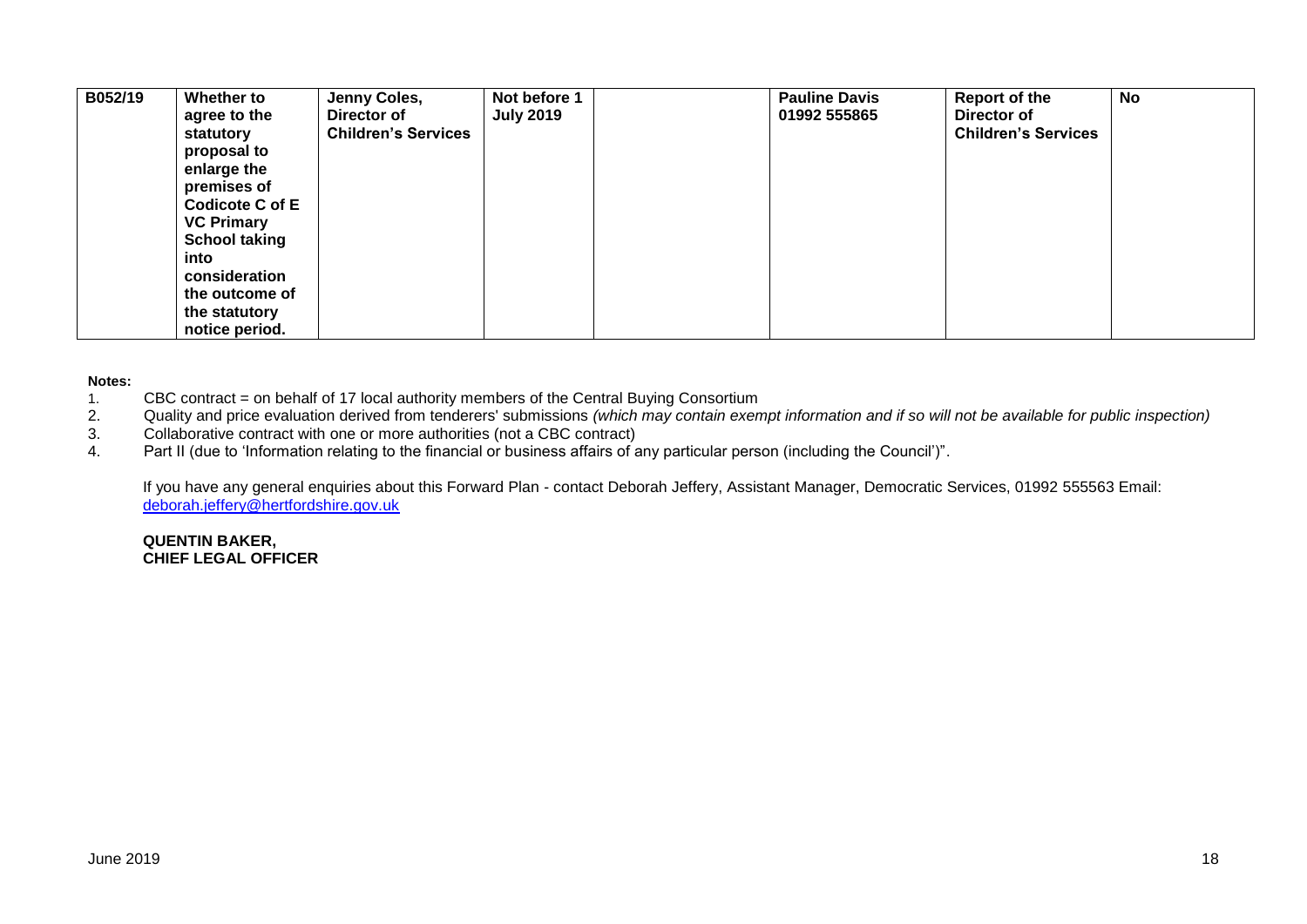| B052/19 | Whether to<br>agree to the | Jenny Coles,<br>Director of | Not before 1<br><b>July 2019</b> | <b>Pauline Davis</b><br>01992 555865 | Report of the<br>Director of | <b>No</b> |
|---------|----------------------------|-----------------------------|----------------------------------|--------------------------------------|------------------------------|-----------|
|         | statutory                  | <b>Children's Services</b>  |                                  |                                      | <b>Children's Services</b>   |           |
|         | proposal to                |                             |                                  |                                      |                              |           |
|         | enlarge the                |                             |                                  |                                      |                              |           |
|         | premises of                |                             |                                  |                                      |                              |           |
|         | <b>Codicote C of E</b>     |                             |                                  |                                      |                              |           |
|         | <b>VC Primary</b>          |                             |                                  |                                      |                              |           |
|         | <b>School taking</b>       |                             |                                  |                                      |                              |           |
|         | into                       |                             |                                  |                                      |                              |           |
|         | consideration              |                             |                                  |                                      |                              |           |
|         | the outcome of             |                             |                                  |                                      |                              |           |
|         | the statutory              |                             |                                  |                                      |                              |           |
|         | notice period.             |                             |                                  |                                      |                              |           |

#### **Notes:**

- 1. CBC contract = on behalf of 17 local authority members of the Central Buying Consortium<br>2. Quality and price evaluation derived from tenderers' submissions (which may contain exen
- 2. Quality and price evaluation derived from tenderers' submissions *(which may contain exempt information and if so will not be available for public inspection)*
- Collaborative contract with one or more authorities (not a CBC contract)
- 4. Part II (due to 'Information relating to the financial or business affairs of any particular person (including the Council')".

If you have any general enquiries about this Forward Plan - contact Deborah Jeffery, Assistant Manager, Democratic Services, 01992 555563 Email: [deborah.jeffery@hertfordshire.gov.uk](mailto:deborah.jeffery@hertfordshire.gov.uk) 

#### **QUENTIN BAKER, CHIEF LEGAL OFFICER**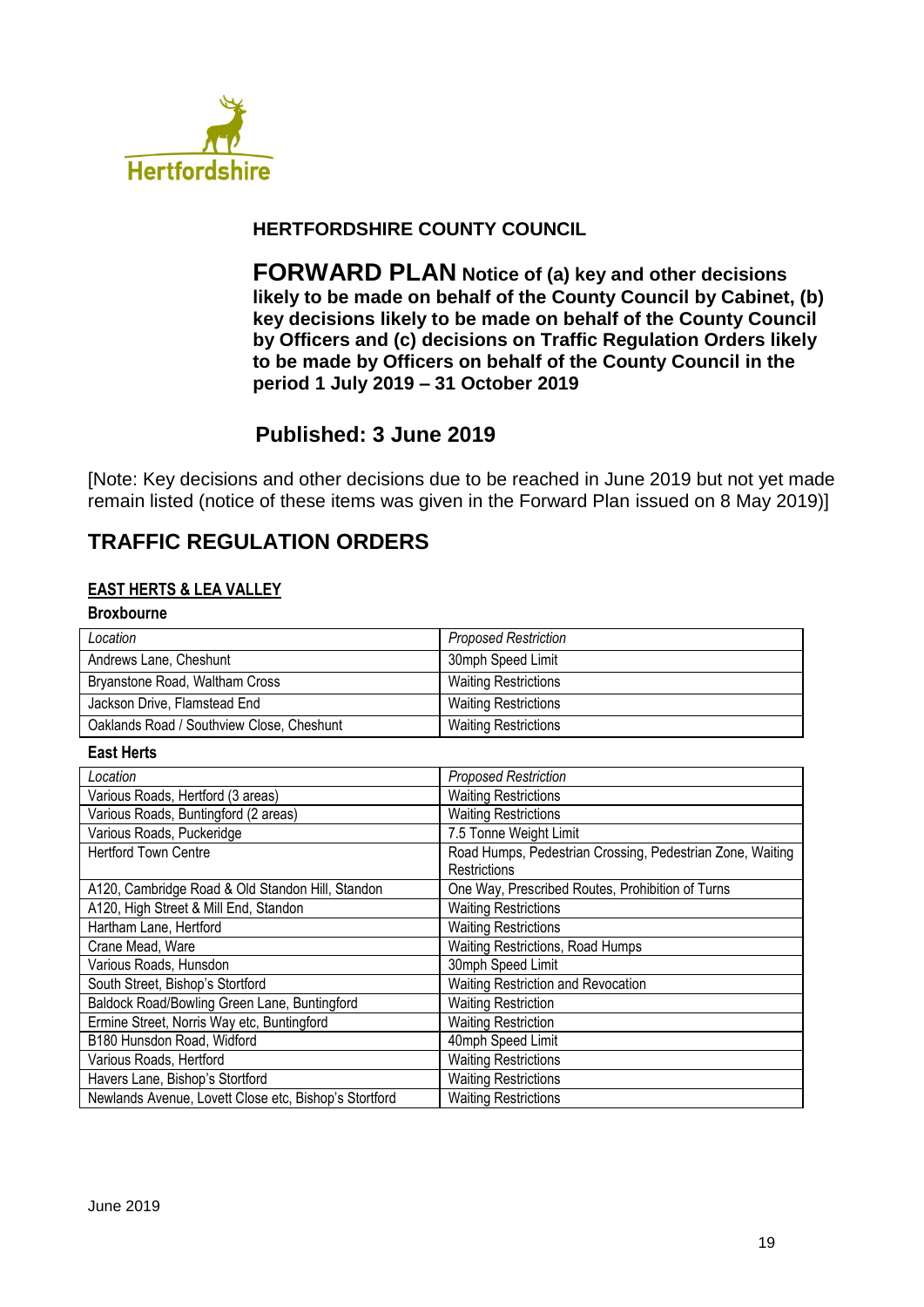

## **HERTFORDSHIRE COUNTY COUNCIL**

**FORWARD PLAN Notice of (a) key and other decisions likely to be made on behalf of the County Council by Cabinet, (b) key decisions likely to be made on behalf of the County Council by Officers and (c) decisions on Traffic Regulation Orders likely to be made by Officers on behalf of the County Council in the period 1 July 2019 – 31 October 2019**

# **Published: 3 June 2019**

[Note: Key decisions and other decisions due to be reached in June 2019 but not yet made remain listed (notice of these items was given in the Forward Plan issued on 8 May 2019)]

# **TRAFFIC REGULATION ORDERS**

### **EAST HERTS & LEA VALLEY**

| <b>Broxbourne</b> |  |
|-------------------|--|
| Location          |  |

| Location                                  | <b>Proposed Restriction</b> |
|-------------------------------------------|-----------------------------|
| Andrews Lane, Cheshunt                    | 30mph Speed Limit           |
| Bryanstone Road, Waltham Cross            | <b>Waiting Restrictions</b> |
| Jackson Drive, Flamstead End              | <b>Waiting Restrictions</b> |
| Oaklands Road / Southview Close, Cheshunt | <b>Waiting Restrictions</b> |

#### **East Herts**

r

| Location                                              | <b>Proposed Restriction</b>                               |
|-------------------------------------------------------|-----------------------------------------------------------|
| Various Roads, Hertford (3 areas)                     | <b>Waiting Restrictions</b>                               |
| Various Roads, Buntingford (2 areas)                  | <b>Waiting Restrictions</b>                               |
| Various Roads, Puckeridge                             | 7.5 Tonne Weight Limit                                    |
| <b>Hertford Town Centre</b>                           | Road Humps, Pedestrian Crossing, Pedestrian Zone, Waiting |
|                                                       | Restrictions                                              |
| A120, Cambridge Road & Old Standon Hill, Standon      | One Way, Prescribed Routes, Prohibition of Turns          |
| A120, High Street & Mill End, Standon                 | <b>Waiting Restrictions</b>                               |
| Hartham Lane, Hertford                                | <b>Waiting Restrictions</b>                               |
| Crane Mead, Ware                                      | Waiting Restrictions, Road Humps                          |
| Various Roads, Hunsdon                                | 30mph Speed Limit                                         |
| South Street, Bishop's Stortford                      | Waiting Restriction and Revocation                        |
| Baldock Road/Bowling Green Lane, Buntingford          | <b>Waiting Restriction</b>                                |
| Ermine Street, Norris Way etc, Buntingford            | <b>Waiting Restriction</b>                                |
| B180 Hunsdon Road, Widford                            | 40mph Speed Limit                                         |
| Various Roads, Hertford                               | <b>Waiting Restrictions</b>                               |
| Havers Lane, Bishop's Stortford                       | <b>Waiting Restrictions</b>                               |
| Newlands Avenue, Lovett Close etc, Bishop's Stortford | <b>Waiting Restrictions</b>                               |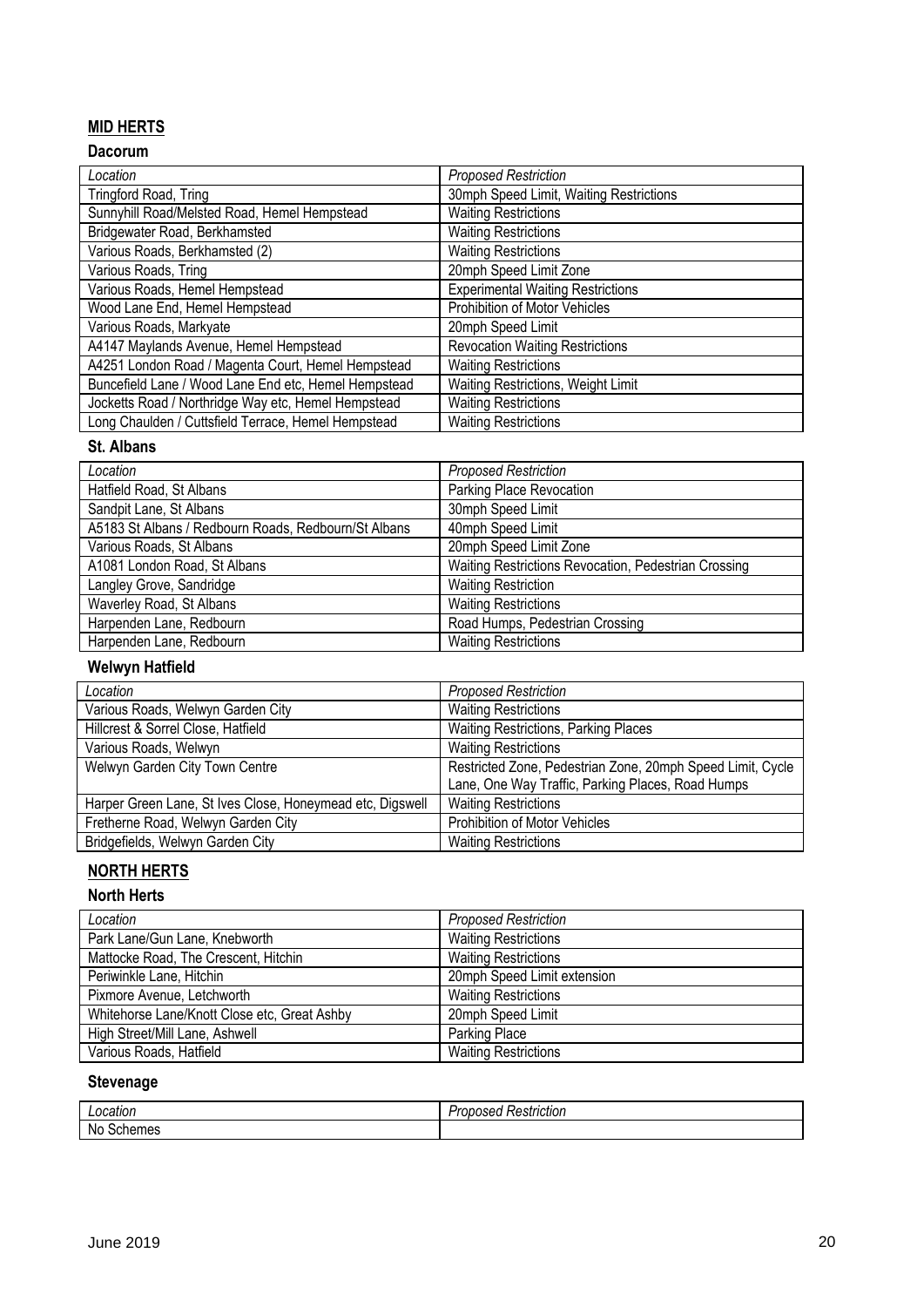## **MID HERTS**

## **Dacorum**

| Location                                             | <b>Proposed Restriction</b>              |
|------------------------------------------------------|------------------------------------------|
| Tringford Road, Tring                                | 30mph Speed Limit, Waiting Restrictions  |
| Sunnyhill Road/Melsted Road, Hemel Hempstead         | <b>Waiting Restrictions</b>              |
| Bridgewater Road, Berkhamsted                        | <b>Waiting Restrictions</b>              |
| Various Roads, Berkhamsted (2)                       | <b>Waiting Restrictions</b>              |
| Various Roads, Tring                                 | 20mph Speed Limit Zone                   |
| Various Roads, Hemel Hempstead                       | <b>Experimental Waiting Restrictions</b> |
| Wood Lane End, Hemel Hempstead                       | Prohibition of Motor Vehicles            |
| Various Roads, Markyate                              | 20mph Speed Limit                        |
| A4147 Maylands Avenue, Hemel Hempstead               | <b>Revocation Waiting Restrictions</b>   |
| A4251 London Road / Magenta Court, Hemel Hempstead   | <b>Waiting Restrictions</b>              |
| Buncefield Lane / Wood Lane End etc, Hemel Hempstead | Waiting Restrictions, Weight Limit       |
| Jocketts Road / Northridge Way etc, Hemel Hempstead  | <b>Waiting Restrictions</b>              |
| Long Chaulden / Cuttsfield Terrace, Hemel Hempstead  | <b>Waiting Restrictions</b>              |

#### **St. Albans**

| Location                                             | <b>Proposed Restriction</b>                          |
|------------------------------------------------------|------------------------------------------------------|
| Hatfield Road, St Albans                             | Parking Place Revocation                             |
| Sandpit Lane, St Albans                              | 30mph Speed Limit                                    |
| A5183 St Albans / Redbourn Roads, Redbourn/St Albans | 40mph Speed Limit                                    |
| Various Roads, St Albans                             | 20mph Speed Limit Zone                               |
| A1081 London Road, St Albans                         | Waiting Restrictions Revocation, Pedestrian Crossing |
| Langley Grove, Sandridge                             | <b>Waiting Restriction</b>                           |
| Waverley Road, St Albans                             | <b>Waiting Restrictions</b>                          |
| Harpenden Lane, Redbourn                             | Road Humps, Pedestrian Crossing                      |
| Harpenden Lane, Redbourn                             | <b>Waiting Restrictions</b>                          |

# **Welwyn Hatfield**

| Location                                                  | <b>Proposed Restriction</b>                                |
|-----------------------------------------------------------|------------------------------------------------------------|
| Various Roads, Welwyn Garden City                         | <b>Waiting Restrictions</b>                                |
| Hillcrest & Sorrel Close, Hatfield                        | Waiting Restrictions, Parking Places                       |
| Various Roads, Welwyn                                     | <b>Waiting Restrictions</b>                                |
| Welwyn Garden City Town Centre                            | Restricted Zone, Pedestrian Zone, 20mph Speed Limit, Cycle |
|                                                           | Lane, One Way Traffic, Parking Places, Road Humps          |
| Harper Green Lane, St Ives Close, Honeymead etc, Digswell | <b>Waiting Restrictions</b>                                |
| Fretherne Road, Welwyn Garden City                        | Prohibition of Motor Vehicles                              |
| Bridgefields, Welwyn Garden City                          | <b>Waiting Restrictions</b>                                |

# **NORTH HERTS**

## **North Herts**

| Location                                     | <b>Proposed Restriction</b> |
|----------------------------------------------|-----------------------------|
| Park Lane/Gun Lane, Knebworth                | <b>Waiting Restrictions</b> |
| Mattocke Road, The Crescent, Hitchin         | <b>Waiting Restrictions</b> |
| Periwinkle Lane, Hitchin                     | 20mph Speed Limit extension |
| Pixmore Avenue, Letchworth                   | <b>Waiting Restrictions</b> |
| Whitehorse Lane/Knott Close etc, Great Ashby | 20mph Speed Limit           |
| High Street/Mill Lane, Ashwell               | Parking Place               |
| Various Roads, Hatfield                      | <b>Waiting Restrictions</b> |

## **Stevenage**

| :auor                     | $\cdots$<br>.<br>.<br>---<br>striction<br>55<br> |
|---------------------------|--------------------------------------------------|
| <b>No</b><br>้คะ<br>าemes |                                                  |